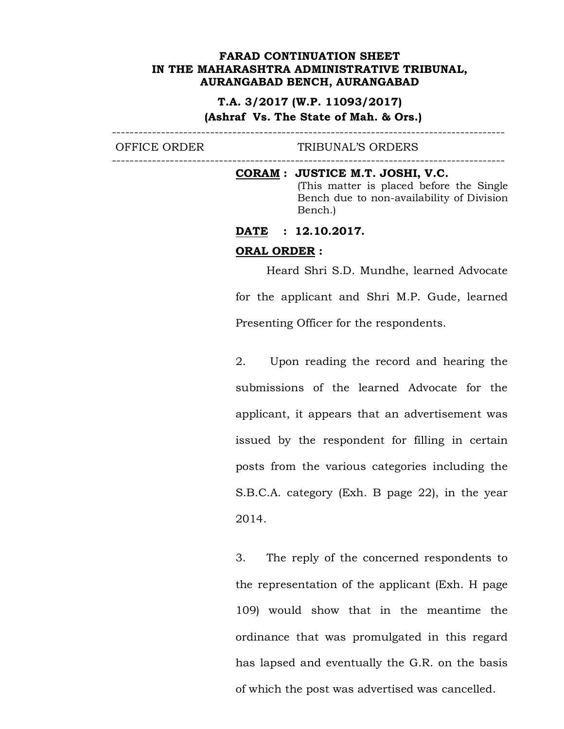#### **T.A. 3/2017 (W.P. 11093/2017)**

#### **(Ashraf Vs. The State of Mah. & Ors.)**

----------------------------------------------------------------------------------------

OFFICE ORDER TRIBUNAL'S ORDERS ----------------------------------------------------------------------------------------

## **CORAM : JUSTICE M.T. JOSHI, V.C.**

(This matter is placed before the Single Bench due to non-availability of Division Bench.)

#### **DATE : 12.10.2017.**

#### **ORAL ORDER :**

Heard Shri S.D. Mundhe, learned Advocate for the applicant and Shri M.P. Gude, learned Presenting Officer for the respondents.

2. Upon reading the record and hearing the submissions of the learned Advocate for the applicant, it appears that an advertisement was issued by the respondent for filling in certain posts from the various categories including the S.B.C.A. category (Exh. B page 22), in the year 2014.

3. The reply of the concerned respondents to the representation of the applicant (Exh. H page 109) would show that in the meantime the ordinance that was promulgated in this regard has lapsed and eventually the G.R. on the basis of which the post was advertised was cancelled.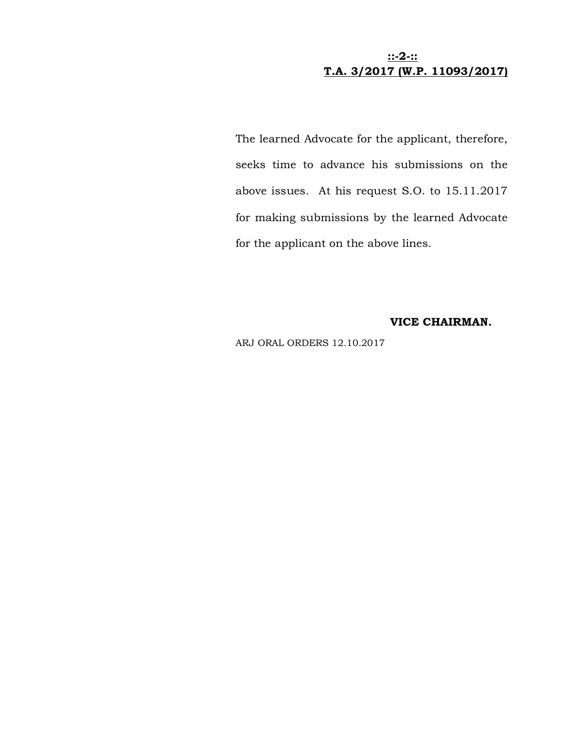# **::-2-:: T.A. 3/2017 (W.P. 11093/2017)**

The learned Advocate for the applicant, therefore, seeks time to advance his submissions on the above issues. At his request S.O. to 15.11.2017 for making submissions by the learned Advocate for the applicant on the above lines.

## **VICE CHAIRMAN.**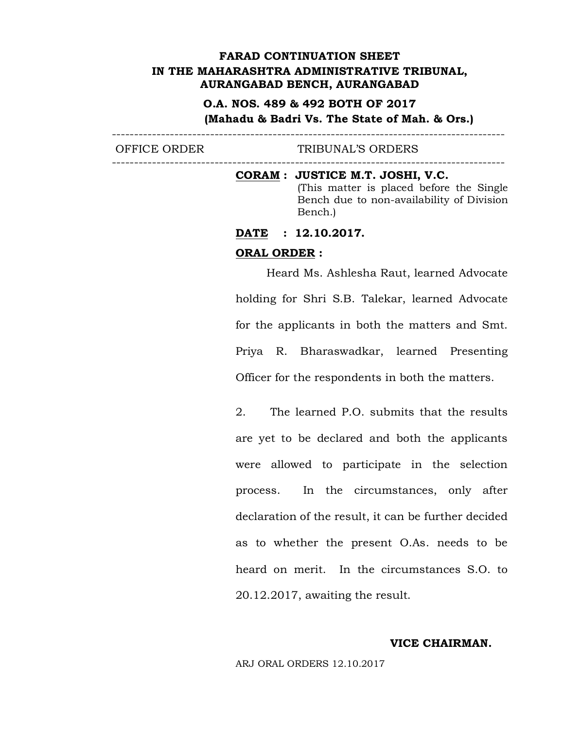# **O.A. NOS. 489 & 492 BOTH OF 2017 (Mahadu & Badri Vs. The State of Mah. & Ors.)**

----------------------------------------------------------------------------------------

OFFICE ORDER TRIBUNAL'S ORDERS

----------------------------------------------------------------------------------------

**CORAM : JUSTICE M.T. JOSHI, V.C.** (This matter is placed before the Single Bench due to non-availability of Division Bench.)

**DATE : 12.10.2017.** 

# **ORAL ORDER :**

Heard Ms. Ashlesha Raut, learned Advocate holding for Shri S.B. Talekar, learned Advocate for the applicants in both the matters and Smt. Priya R. Bharaswadkar, learned Presenting Officer for the respondents in both the matters.

2. The learned P.O. submits that the results are yet to be declared and both the applicants were allowed to participate in the selection process. In the circumstances, only after declaration of the result, it can be further decided as to whether the present O.As. needs to be heard on merit. In the circumstances S.O. to 20.12.2017, awaiting the result.

**VICE CHAIRMAN.**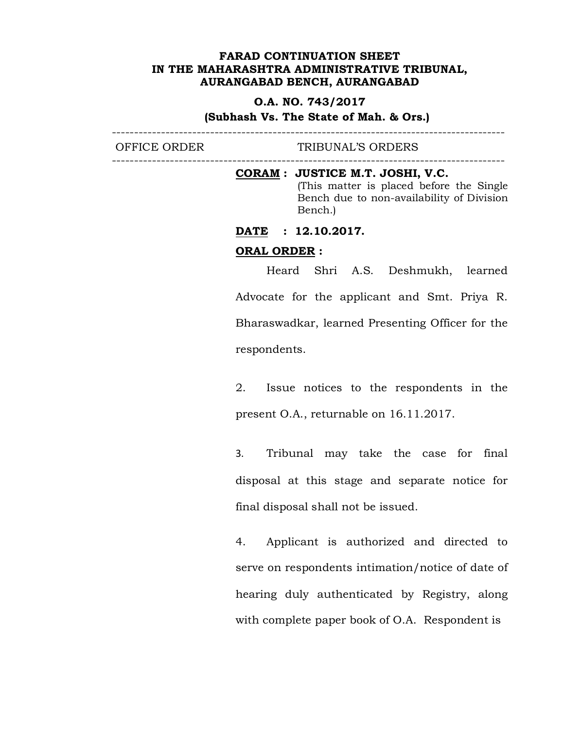#### **O.A. NO. 743/2017**

**(Subhash Vs. The State of Mah. & Ors.)**

----------------------------------------------------------------------------------------

OFFICE ORDER TRIBUNAL'S ORDERS ----------------------------------------------------------------------------------------

#### **CORAM : JUSTICE M.T. JOSHI, V.C.**

(This matter is placed before the Single Bench due to non-availability of Division Bench.)

**DATE : 12.10.2017.** 

#### **ORAL ORDER :**

Heard Shri A.S. Deshmukh, learned Advocate for the applicant and Smt. Priya R. Bharaswadkar, learned Presenting Officer for the respondents.

2. Issue notices to the respondents in the present O.A., returnable on 16.11.2017.

3. Tribunal may take the case for final disposal at this stage and separate notice for final disposal shall not be issued.

4. Applicant is authorized and directed to serve on respondents intimation/notice of date of hearing duly authenticated by Registry, along with complete paper book of O.A. Respondent is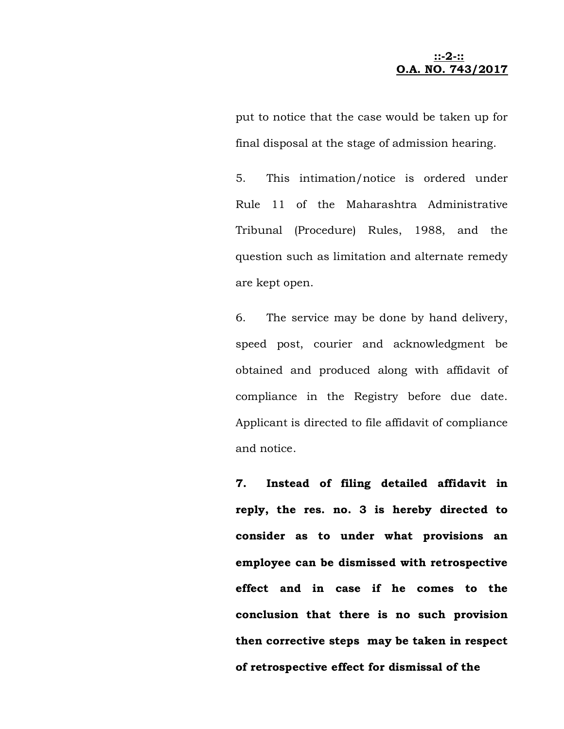**::-2-:: O.A. NO. 743/2017**

put to notice that the case would be taken up for final disposal at the stage of admission hearing.

5. This intimation/notice is ordered under Rule 11 of the Maharashtra Administrative Tribunal (Procedure) Rules, 1988, and the question such as limitation and alternate remedy are kept open.

6. The service may be done by hand delivery, speed post, courier and acknowledgment be obtained and produced along with affidavit of compliance in the Registry before due date. Applicant is directed to file affidavit of compliance and notice.

**7. Instead of filing detailed affidavit in reply, the res. no. 3 is hereby directed to consider as to under what provisions an employee can be dismissed with retrospective effect and in case if he comes to the conclusion that there is no such provision then corrective steps may be taken in respect of retrospective effect for dismissal of the**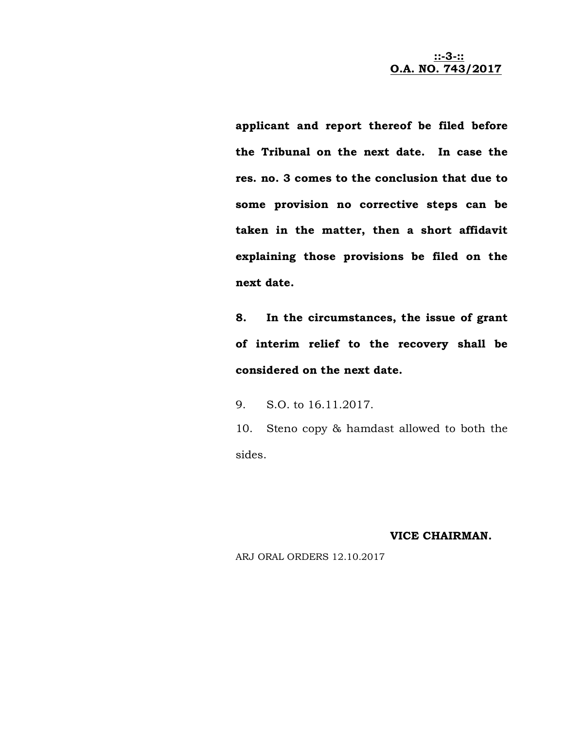**::-3-:: O.A. NO. 743/2017**

**applicant and report thereof be filed before the Tribunal on the next date. In case the res. no. 3 comes to the conclusion that due to some provision no corrective steps can be taken in the matter, then a short affidavit explaining those provisions be filed on the next date.** 

**8. In the circumstances, the issue of grant of interim relief to the recovery shall be considered on the next date.** 

9. S.O. to 16.11.2017.

10. Steno copy & hamdast allowed to both the sides.

**VICE CHAIRMAN.**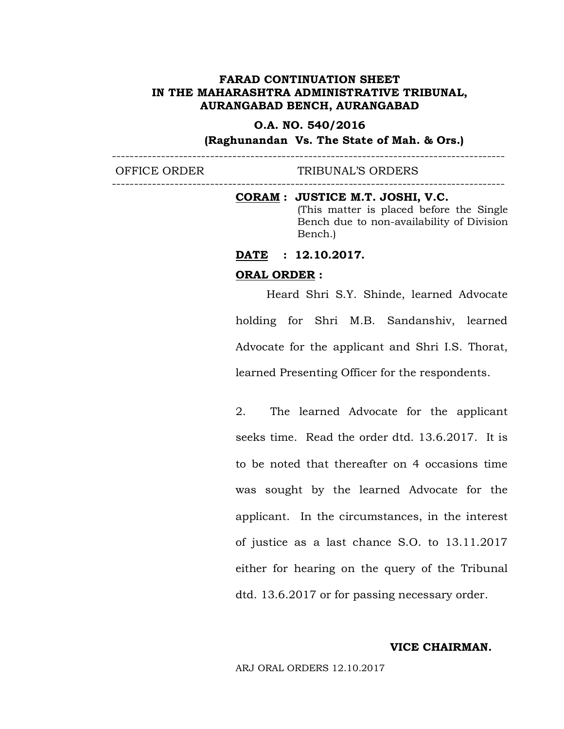#### **O.A. NO. 540/2016**

**(Raghunandan Vs. The State of Mah. & Ors.)**

----------------------------------------------------------------------------------------

----------------------------------------------------------------------------------------

OFFICE ORDER TRIBUNAL'S ORDERS

**CORAM : JUSTICE M.T. JOSHI, V.C.** (This matter is placed before the Single Bench due to non-availability of Division Bench.)

**DATE : 12.10.2017.** 

#### **ORAL ORDER :**

Heard Shri S.Y. Shinde, learned Advocate holding for Shri M.B. Sandanshiv, learned Advocate for the applicant and Shri I.S. Thorat, learned Presenting Officer for the respondents.

2. The learned Advocate for the applicant seeks time. Read the order dtd. 13.6.2017. It is to be noted that thereafter on 4 occasions time was sought by the learned Advocate for the applicant. In the circumstances, in the interest of justice as a last chance S.O. to 13.11.2017 either for hearing on the query of the Tribunal dtd. 13.6.2017 or for passing necessary order.

#### **VICE CHAIRMAN.**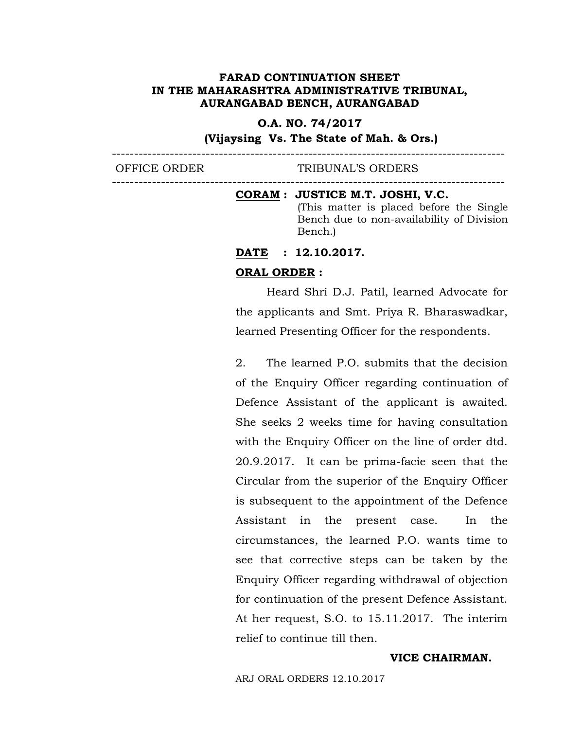#### **O.A. NO. 74/2017**

----------------------------------------------------------------------------------------

**(Vijaysing Vs. The State of Mah. & Ors.)**

----------------------------------------------------------------------------------------

## OFFICE ORDER TRIBUNAL'S ORDERS

#### **CORAM : JUSTICE M.T. JOSHI, V.C.**

(This matter is placed before the Single Bench due to non-availability of Division Bench.)

# **DATE : 12.10.2017.**

## **ORAL ORDER :**

Heard Shri D.J. Patil, learned Advocate for the applicants and Smt. Priya R. Bharaswadkar, learned Presenting Officer for the respondents.

2. The learned P.O. submits that the decision of the Enquiry Officer regarding continuation of Defence Assistant of the applicant is awaited. She seeks 2 weeks time for having consultation with the Enquiry Officer on the line of order dtd. 20.9.2017. It can be prima-facie seen that the Circular from the superior of the Enquiry Officer is subsequent to the appointment of the Defence Assistant in the present case. In the circumstances, the learned P.O. wants time to see that corrective steps can be taken by the Enquiry Officer regarding withdrawal of objection for continuation of the present Defence Assistant. At her request, S.O. to 15.11.2017. The interim relief to continue till then.

#### **VICE CHAIRMAN.**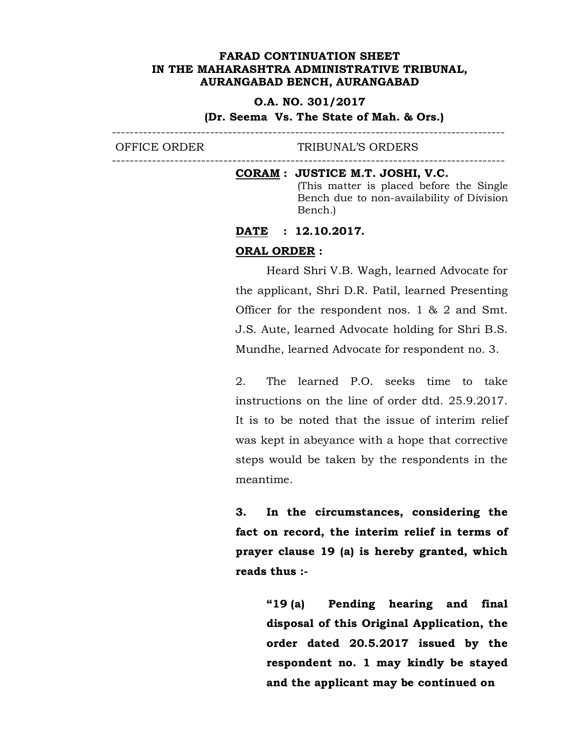#### **O.A. NO. 301/2017**

**(Dr. Seema Vs. The State of Mah. & Ors.)**

---------------------------------------------------------------------------------------- OFFICE ORDER TRIBUNAL'S ORDERS

----------------------------------------------------------------------------------------

#### **CORAM : JUSTICE M.T. JOSHI, V.C.**

(This matter is placed before the Single Bench due to non-availability of Division Bench.)

#### **DATE : 12.10.2017.**

## **ORAL ORDER :**

Heard Shri V.B. Wagh, learned Advocate for the applicant, Shri D.R. Patil, learned Presenting Officer for the respondent nos. 1 & 2 and Smt. J.S. Aute, learned Advocate holding for Shri B.S. Mundhe, learned Advocate for respondent no. 3.

2. The learned P.O. seeks time to take instructions on the line of order dtd. 25.9.2017. It is to be noted that the issue of interim relief was kept in abeyance with a hope that corrective steps would be taken by the respondents in the meantime.

**3. In the circumstances, considering the fact on record, the interim relief in terms of prayer clause 19 (a) is hereby granted, which reads thus :-** 

> **"19 (a) Pending hearing and final disposal of this Original Application, the order dated 20.5.2017 issued by the respondent no. 1 may kindly be stayed and the applicant may be continued on**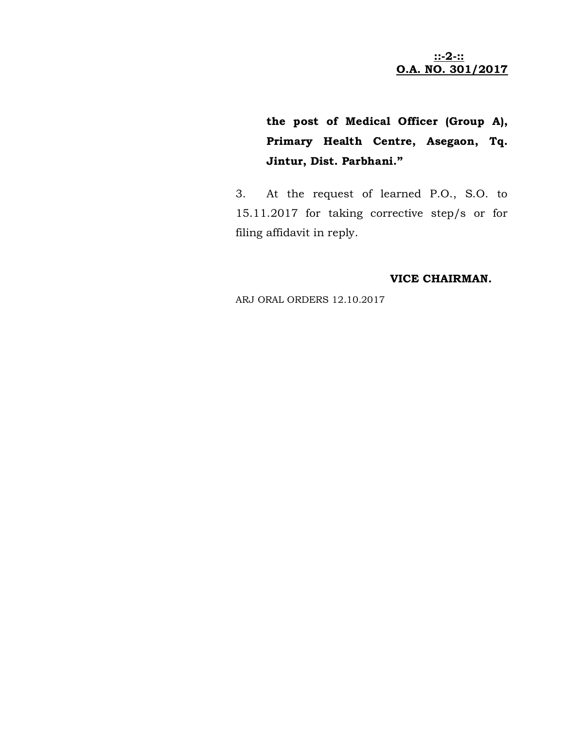**::-2-:: O.A. NO. 301/2017**

**the post of Medical Officer (Group A), Primary Health Centre, Asegaon, Tq. Jintur, Dist. Parbhani."**

3. At the request of learned P.O., S.O. to 15.11.2017 for taking corrective step/s or for filing affidavit in reply.

## **VICE CHAIRMAN.**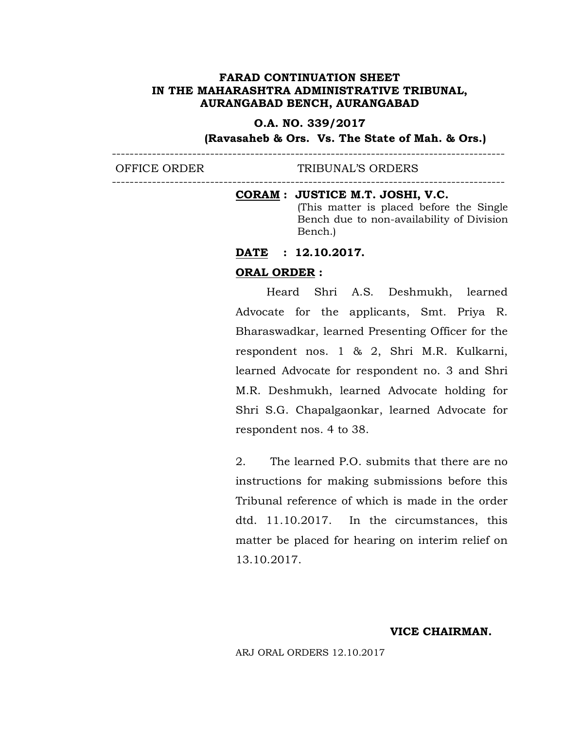#### **O.A. NO. 339/2017**

----------------------------------------------------------------------------------------

----------------------------------------------------------------------------------------

**(Ravasaheb & Ors. Vs. The State of Mah. & Ors.)**

OFFICE ORDER TRIBUNAL'S ORDERS

#### **CORAM : JUSTICE M.T. JOSHI, V.C.**

(This matter is placed before the Single Bench due to non-availability of Division Bench.)

# **DATE : 12.10.2017.**

#### **ORAL ORDER :**

Heard Shri A.S. Deshmukh, learned Advocate for the applicants, Smt. Priya R. Bharaswadkar, learned Presenting Officer for the respondent nos. 1 & 2, Shri M.R. Kulkarni, learned Advocate for respondent no. 3 and Shri M.R. Deshmukh, learned Advocate holding for Shri S.G. Chapalgaonkar, learned Advocate for respondent nos. 4 to 38.

2. The learned P.O. submits that there are no instructions for making submissions before this Tribunal reference of which is made in the order dtd. 11.10.2017. In the circumstances, this matter be placed for hearing on interim relief on 13.10.2017.

#### **VICE CHAIRMAN.**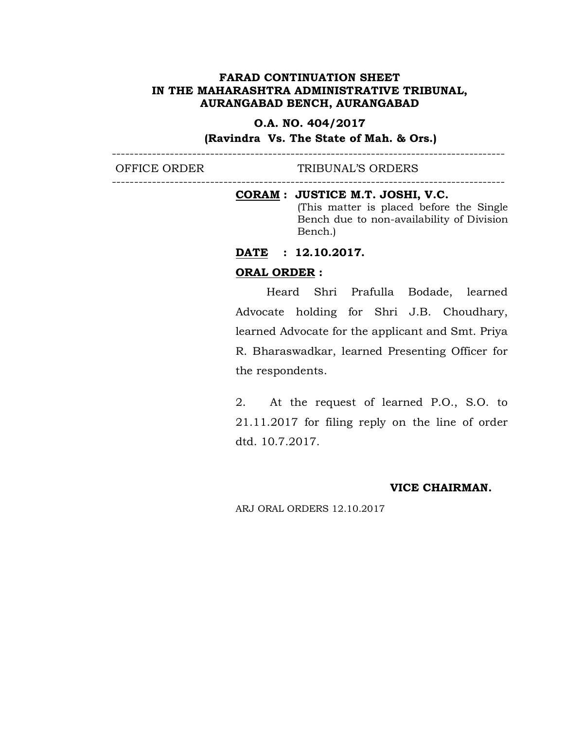## **O.A. NO. 404/2017**

----------------------------------------------------------------------------------------

----------------------------------------------------------------------------------------

## **(Ravindra Vs. The State of Mah. & Ors.)**

OFFICE ORDER TRIBUNAL'S ORDERS

#### **CORAM : JUSTICE M.T. JOSHI, V.C.**

(This matter is placed before the Single Bench due to non-availability of Division Bench.)

## **DATE : 12.10.2017.**

#### **ORAL ORDER :**

Heard Shri Prafulla Bodade, learned Advocate holding for Shri J.B. Choudhary, learned Advocate for the applicant and Smt. Priya R. Bharaswadkar, learned Presenting Officer for the respondents.

2. At the request of learned P.O., S.O. to 21.11.2017 for filing reply on the line of order dtd. 10.7.2017.

#### **VICE CHAIRMAN.**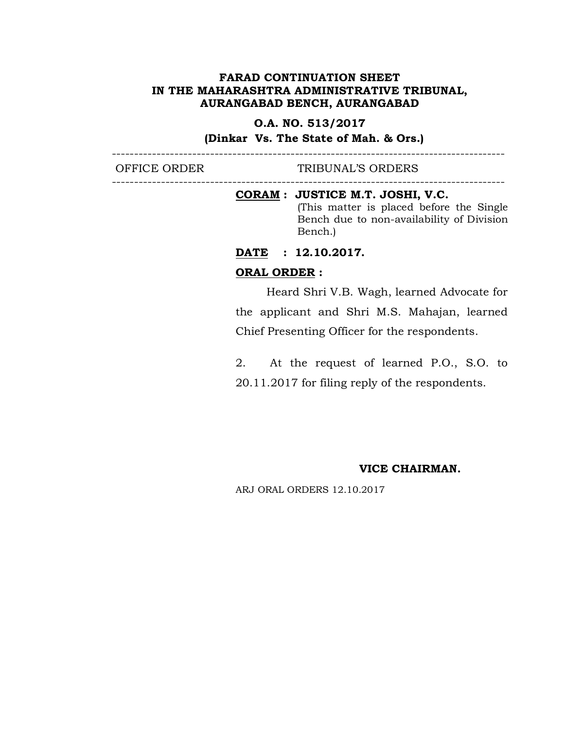## **O.A. NO. 513/2017**

----------------------------------------------------------------------------------------

----------------------------------------------------------------------------------------

## **(Dinkar Vs. The State of Mah. & Ors.)**

OFFICE ORDER TRIBUNAL'S ORDERS

## **CORAM : JUSTICE M.T. JOSHI, V.C.**

(This matter is placed before the Single Bench due to non-availability of Division Bench.)

## **DATE : 12.10.2017.**

## **ORAL ORDER :**

Heard Shri V.B. Wagh, learned Advocate for the applicant and Shri M.S. Mahajan, learned Chief Presenting Officer for the respondents.

2. At the request of learned P.O., S.O. to 20.11.2017 for filing reply of the respondents.

#### **VICE CHAIRMAN.**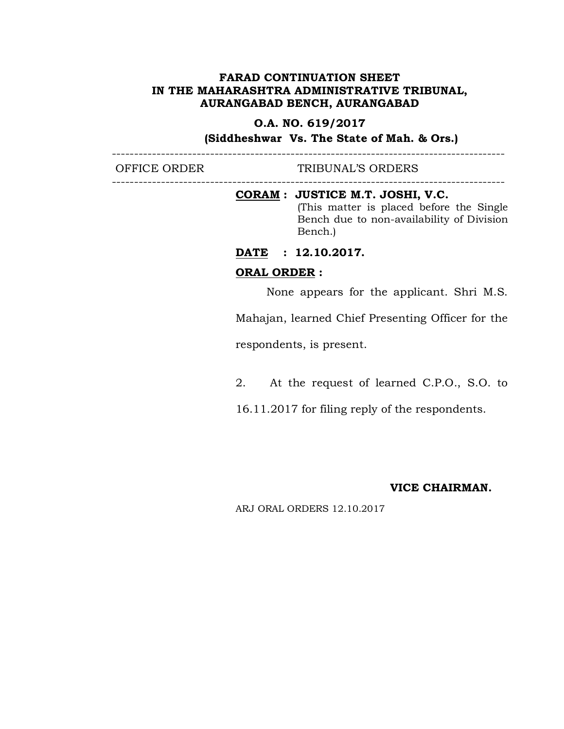## **O.A. NO. 619/2017**

----------------------------------------------------------------------------------------

----------------------------------------------------------------------------------------

**(Siddheshwar Vs. The State of Mah. & Ors.)**

OFFICE ORDER TRIBUNAL'S ORDERS

#### **CORAM : JUSTICE M.T. JOSHI, V.C.**

(This matter is placed before the Single Bench due to non-availability of Division Bench.)

# **DATE : 12.10.2017.**

#### **ORAL ORDER :**

None appears for the applicant. Shri M.S.

Mahajan, learned Chief Presenting Officer for the

respondents, is present.

2. At the request of learned C.P.O., S.O. to

16.11.2017 for filing reply of the respondents.

#### **VICE CHAIRMAN.**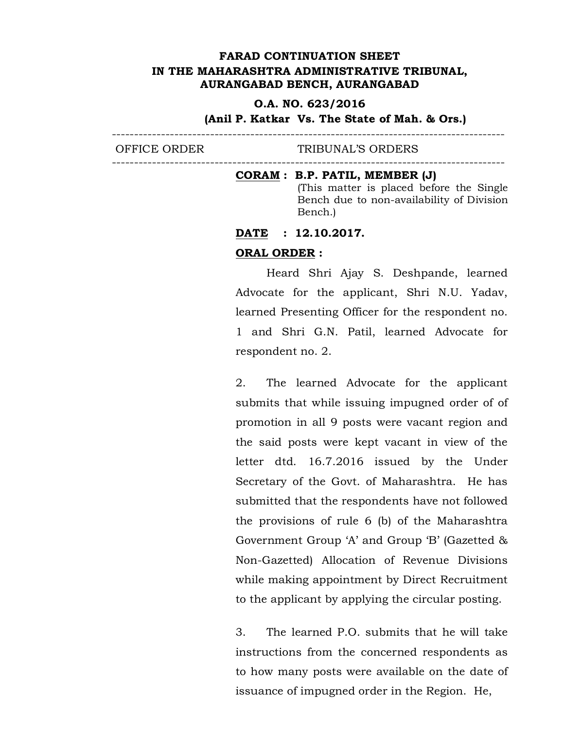#### **O.A. NO. 623/2016**

#### **(Anil P. Katkar Vs. The State of Mah. & Ors.)**

---------------------------------------------------------------------------------------- OFFICE ORDER TRIBUNAL'S ORDERS ----------------------------------------------------------------------------------------

#### **CORAM : B.P. PATIL, MEMBER (J)**

(This matter is placed before the Single Bench due to non-availability of Division Bench.)

## **DATE : 12.10.2017.**

#### **ORAL ORDER :**

Heard Shri Ajay S. Deshpande, learned Advocate for the applicant, Shri N.U. Yadav, learned Presenting Officer for the respondent no. 1 and Shri G.N. Patil, learned Advocate for respondent no. 2.

2. The learned Advocate for the applicant submits that while issuing impugned order of of promotion in all 9 posts were vacant region and the said posts were kept vacant in view of the letter dtd. 16.7.2016 issued by the Under Secretary of the Govt. of Maharashtra. He has submitted that the respondents have not followed the provisions of rule 6 (b) of the Maharashtra Government Group 'A' and Group 'B' (Gazetted & Non-Gazetted) Allocation of Revenue Divisions while making appointment by Direct Recruitment to the applicant by applying the circular posting.

3. The learned P.O. submits that he will take instructions from the concerned respondents as to how many posts were available on the date of issuance of impugned order in the Region. He,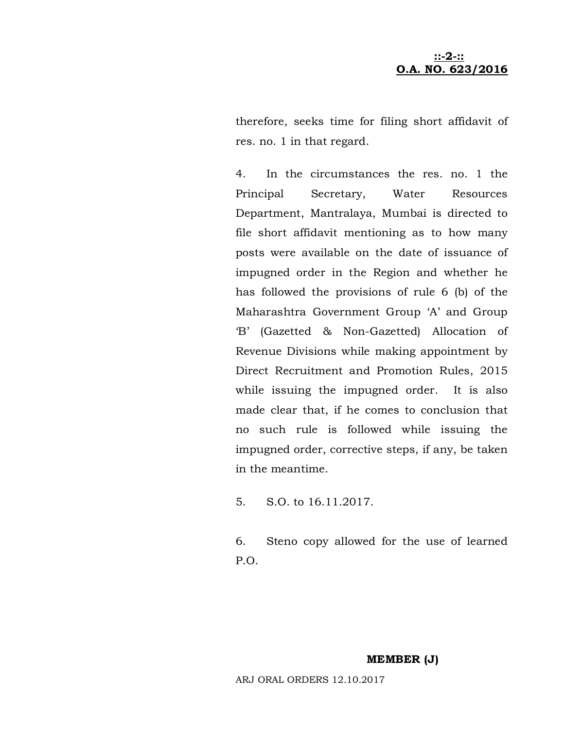## **::-2-:: O.A. NO. 623/2016**

therefore, seeks time for filing short affidavit of res. no. 1 in that regard.

4. In the circumstances the res. no. 1 the Principal Secretary, Water Resources Department, Mantralaya, Mumbai is directed to file short affidavit mentioning as to how many posts were available on the date of issuance of impugned order in the Region and whether he has followed the provisions of rule 6 (b) of the Maharashtra Government Group 'A' and Group 'B' (Gazetted & Non-Gazetted) Allocation of Revenue Divisions while making appointment by Direct Recruitment and Promotion Rules, 2015 while issuing the impugned order. It is also made clear that, if he comes to conclusion that no such rule is followed while issuing the impugned order, corrective steps, if any, be taken in the meantime.

5. S.O. to 16.11.2017.

6. Steno copy allowed for the use of learned P.O.

#### **MEMBER (J)**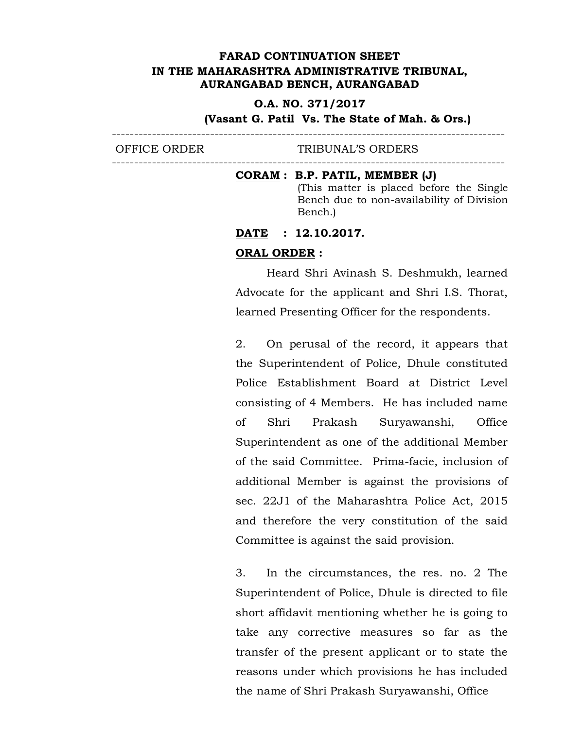#### **O.A. NO. 371/2017**

## **(Vasant G. Patil Vs. The State of Mah. & Ors.)**

---------------------------------------------------------------------------------------- OFFICE ORDER TRIBUNAL'S ORDERS ----------------------------------------------------------------------------------------

#### **CORAM : B.P. PATIL, MEMBER (J)**

(This matter is placed before the Single Bench due to non-availability of Division Bench.)

#### **DATE : 12.10.2017.**

#### **ORAL ORDER :**

Heard Shri Avinash S. Deshmukh, learned Advocate for the applicant and Shri I.S. Thorat, learned Presenting Officer for the respondents.

2. On perusal of the record, it appears that the Superintendent of Police, Dhule constituted Police Establishment Board at District Level consisting of 4 Members. He has included name of Shri Prakash Suryawanshi, Office Superintendent as one of the additional Member of the said Committee. Prima-facie, inclusion of additional Member is against the provisions of sec. 22J1 of the Maharashtra Police Act, 2015 and therefore the very constitution of the said Committee is against the said provision.

3. In the circumstances, the res. no. 2 The Superintendent of Police, Dhule is directed to file short affidavit mentioning whether he is going to take any corrective measures so far as the transfer of the present applicant or to state the reasons under which provisions he has included the name of Shri Prakash Suryawanshi, Office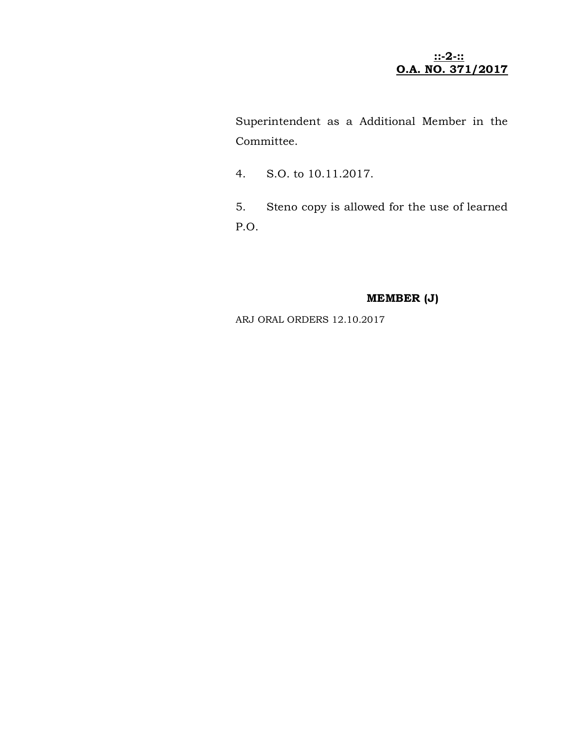## **::-2-:: O.A. NO. 371/2017**

Superintendent as a Additional Member in the Committee.

- 4. S.O. to 10.11.2017.
- 5. Steno copy is allowed for the use of learned P.O.

## **MEMBER (J)**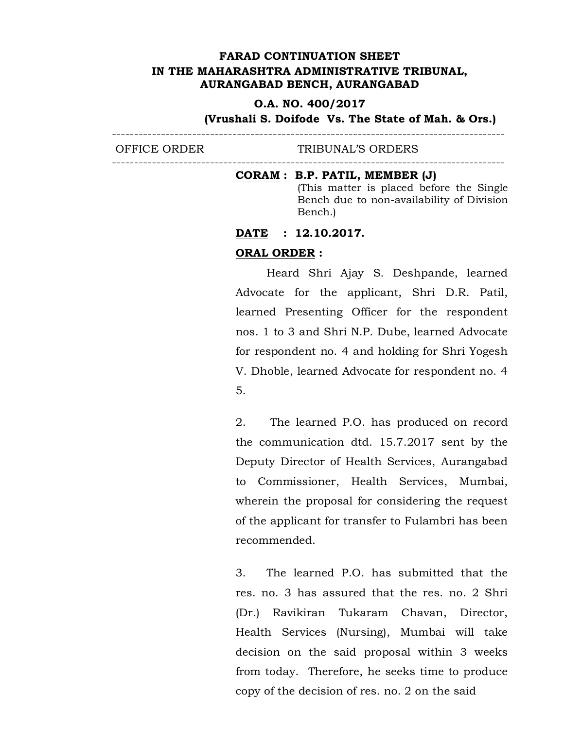## **O.A. NO. 400/2017**

**(Vrushali S. Doifode Vs. The State of Mah. & Ors.)** ----------------------------------------------------------------------------------------

OFFICE ORDER TRIBUNAL'S ORDERS ----------------------------------------------------------------------------------------

## **CORAM : B.P. PATIL, MEMBER (J)**

(This matter is placed before the Single Bench due to non-availability of Division Bench.)

## **DATE : 12.10.2017.**

#### **ORAL ORDER :**

Heard Shri Ajay S. Deshpande, learned Advocate for the applicant, Shri D.R. Patil, learned Presenting Officer for the respondent nos. 1 to 3 and Shri N.P. Dube, learned Advocate for respondent no. 4 and holding for Shri Yogesh V. Dhoble, learned Advocate for respondent no. 4 5.

2. The learned P.O. has produced on record the communication dtd. 15.7.2017 sent by the Deputy Director of Health Services, Aurangabad to Commissioner, Health Services, Mumbai, wherein the proposal for considering the request of the applicant for transfer to Fulambri has been recommended.

3. The learned P.O. has submitted that the res. no. 3 has assured that the res. no. 2 Shri (Dr.) Ravikiran Tukaram Chavan, Director, Health Services (Nursing), Mumbai will take decision on the said proposal within 3 weeks from today. Therefore, he seeks time to produce copy of the decision of res. no. 2 on the said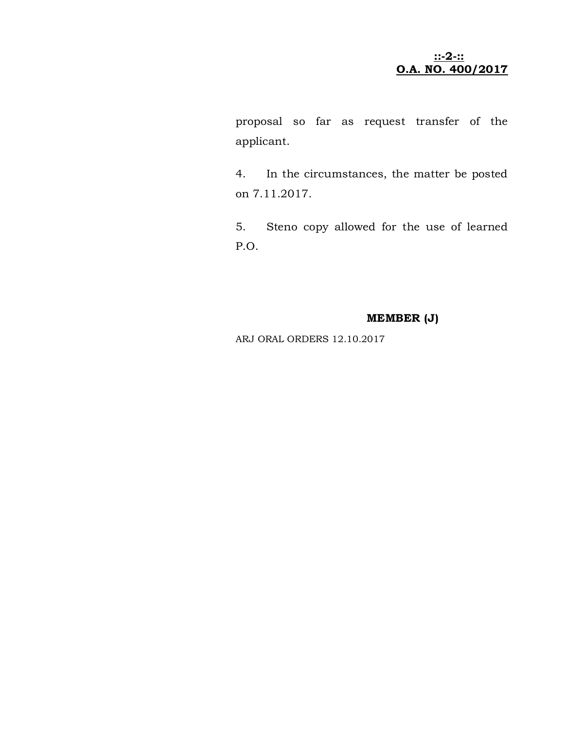**::-2-:: O.A. NO. 400/2017**

proposal so far as request transfer of the applicant.

4. In the circumstances, the matter be posted on 7.11.2017.

5. Steno copy allowed for the use of learned P.O.

# **MEMBER (J)**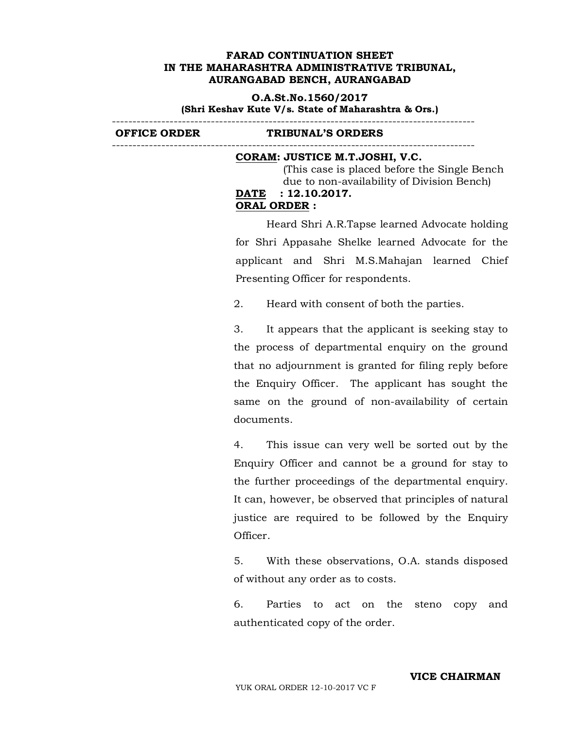**O.A.St.No.1560/2017 (Shri Keshav Kute V/s. State of Maharashtra & Ors.)** ----------------------------------------------------------------------------------------

**OFFICE ORDER TRIBUNAL'S ORDERS**  ----------------------------------------------------------------------------------------

#### **CORAM: JUSTICE M.T.JOSHI, V.C.**

 (This case is placed before the Single Bench due to non-availability of Division Bench) **DATE : 12.10.2017. ORAL ORDER :**

Heard Shri A.R.Tapse learned Advocate holding for Shri Appasahe Shelke learned Advocate for the applicant and Shri M.S.Mahajan learned Chief Presenting Officer for respondents.

2. Heard with consent of both the parties.

3. It appears that the applicant is seeking stay to the process of departmental enquiry on the ground that no adjournment is granted for filing reply before the Enquiry Officer. The applicant has sought the same on the ground of non-availability of certain documents.

4. This issue can very well be sorted out by the Enquiry Officer and cannot be a ground for stay to the further proceedings of the departmental enquiry. It can, however, be observed that principles of natural justice are required to be followed by the Enquiry Officer.

5. With these observations, O.A. stands disposed of without any order as to costs.

6. Parties to act on the steno copy and authenticated copy of the order.

#### **VICE CHAIRMAN**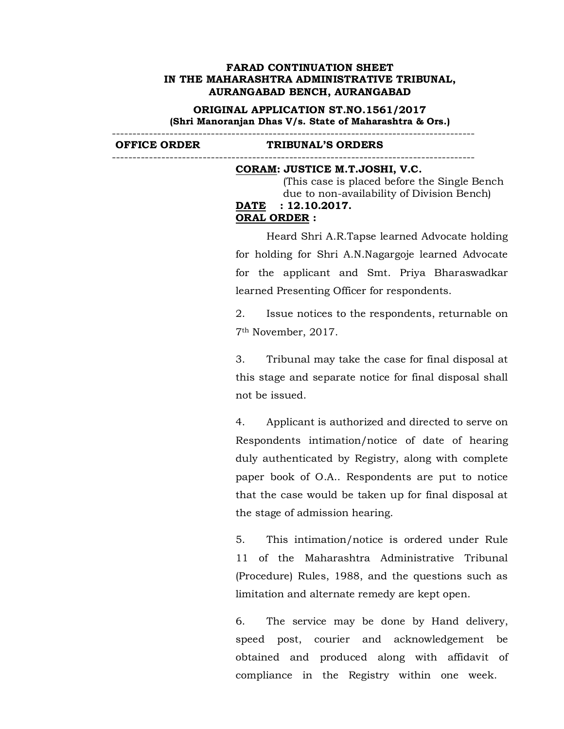## **ORIGINAL APPLICATION ST.NO.1561/2017 (Shri Manoranjan Dhas V/s. State of Maharashtra & Ors.)**

----------------------------------------------------------------------------------------

**OFFICE ORDER TRIBUNAL'S ORDERS**  ----------------------------------------------------------------------------------------

#### **CORAM: JUSTICE M.T.JOSHI, V.C.**

 (This case is placed before the Single Bench due to non-availability of Division Bench)

#### **DATE : 12.10.2017. ORAL ORDER :**

Heard Shri A.R.Tapse learned Advocate holding for holding for Shri A.N.Nagargoje learned Advocate for the applicant and Smt. Priya Bharaswadkar learned Presenting Officer for respondents.

2. Issue notices to the respondents, returnable on 7th November, 2017.

3. Tribunal may take the case for final disposal at this stage and separate notice for final disposal shall not be issued.

4. Applicant is authorized and directed to serve on Respondents intimation/notice of date of hearing duly authenticated by Registry, along with complete paper book of O.A.. Respondents are put to notice that the case would be taken up for final disposal at the stage of admission hearing.

5. This intimation/notice is ordered under Rule 11 of the Maharashtra Administrative Tribunal (Procedure) Rules, 1988, and the questions such as limitation and alternate remedy are kept open.

6. The service may be done by Hand delivery, speed post, courier and acknowledgement be obtained and produced along with affidavit of compliance in the Registry within one week.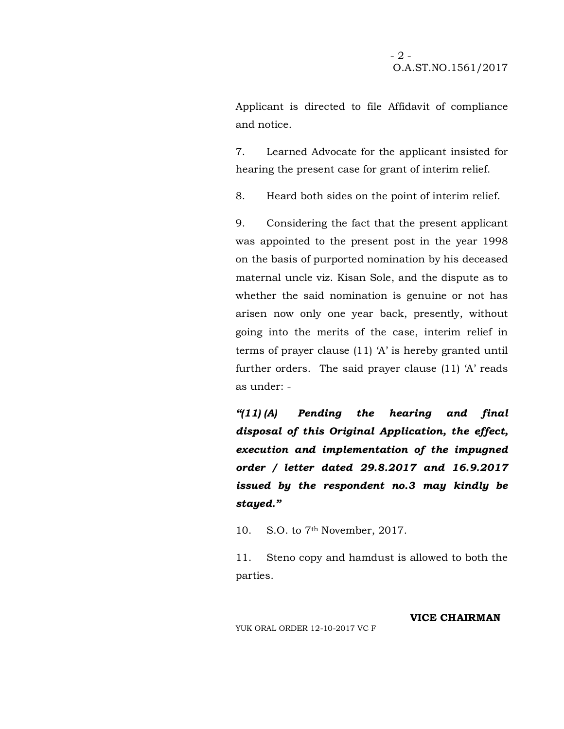Applicant is directed to file Affidavit of compliance and notice.

7. Learned Advocate for the applicant insisted for hearing the present case for grant of interim relief.

8. Heard both sides on the point of interim relief.

9. Considering the fact that the present applicant was appointed to the present post in the year 1998 on the basis of purported nomination by his deceased maternal uncle viz. Kisan Sole, and the dispute as to whether the said nomination is genuine or not has arisen now only one year back, presently, without going into the merits of the case, interim relief in terms of prayer clause (11) 'A' is hereby granted until further orders. The said prayer clause (11) 'A' reads as under: -

*"(11) (A) Pending the hearing and final disposal of this Original Application, the effect, execution and implementation of the impugned order / letter dated 29.8.2017 and 16.9.2017 issued by the respondent no.3 may kindly be stayed."*

10. S.O. to 7th November, 2017.

11. Steno copy and hamdust is allowed to both the parties.

**VICE CHAIRMAN**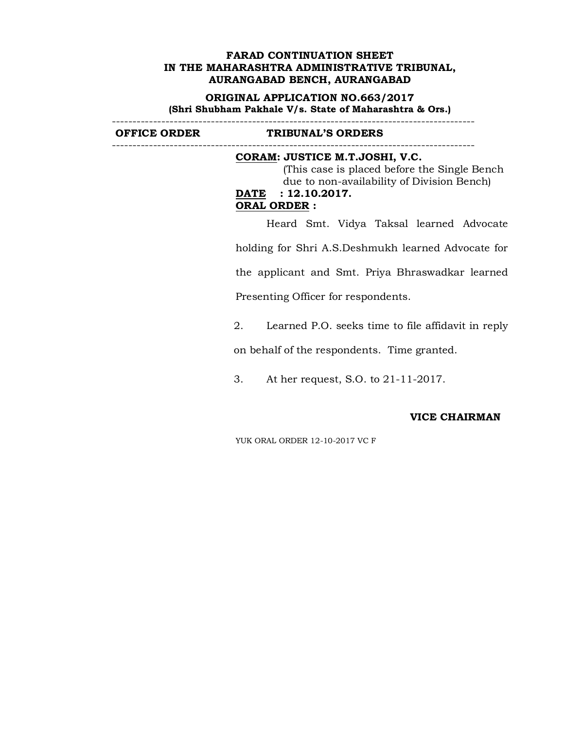#### **ORIGINAL APPLICATION NO.663/2017 (Shri Shubham Pakhale V/s. State of Maharashtra & Ors.)** ----------------------------------------------------------------------------------------

**OFFICE ORDER TRIBUNAL'S ORDERS** 

#### ---------------------------------------------------------------------------------------- **CORAM: JUSTICE M.T.JOSHI, V.C.**

 (This case is placed before the Single Bench due to non-availability of Division Bench) **DATE : 12.10.2017. ORAL ORDER :**

Heard Smt. Vidya Taksal learned Advocate holding for Shri A.S.Deshmukh learned Advocate for the applicant and Smt. Priya Bhraswadkar learned Presenting Officer for respondents.

2. Learned P.O. seeks time to file affidavit in reply

on behalf of the respondents. Time granted.

3. At her request, S.O. to 21-11-2017.

## **VICE CHAIRMAN**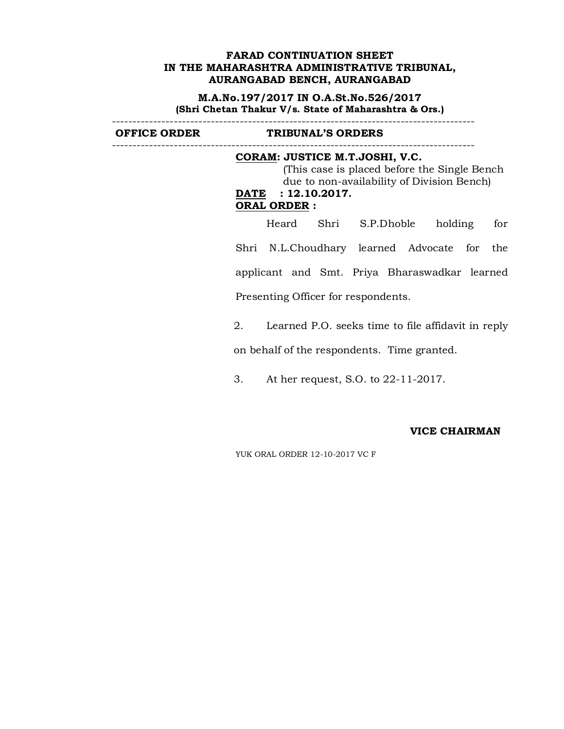**M.A.No.197/2017 IN O.A.St.No.526/2017 (Shri Chetan Thakur V/s. State of Maharashtra & Ors.)** ----------------------------------------------------------------------------------------

**OFFICE ORDER TRIBUNAL'S ORDERS**  ----------------------------------------------------------------------------------------

#### **CORAM: JUSTICE M.T.JOSHI, V.C.**

 (This case is placed before the Single Bench due to non-availability of Division Bench) **DATE : 12.10.2017. ORAL ORDER :**

Heard Shri S.P.Dhoble holding for Shri N.L.Choudhary learned Advocate for the applicant and Smt. Priya Bharaswadkar learned Presenting Officer for respondents.

2. Learned P.O. seeks time to file affidavit in reply

on behalf of the respondents. Time granted.

3. At her request, S.O. to 22-11-2017.

#### **VICE CHAIRMAN**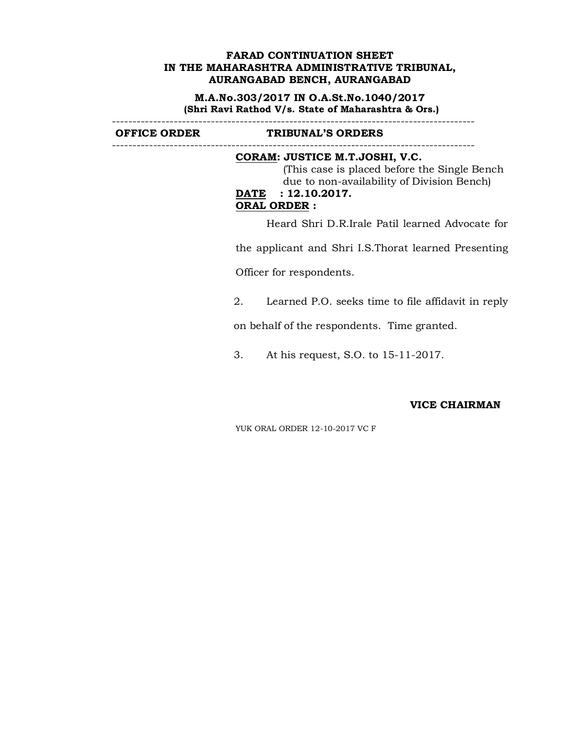**M.A.No.303/2017 IN O.A.St.No.1040/2017 (Shri Ravi Rathod V/s. State of Maharashtra & Ors.)** ----------------------------------------------------------------------------------------

**OFFICE ORDER TRIBUNAL'S ORDERS** 

## ----------------------------------------------------------------------------------------

# **CORAM: JUSTICE M.T.JOSHI, V.C.**

 (This case is placed before the Single Bench due to non-availability of Division Bench) **DATE : 12.10.2017. ORAL ORDER :**

Heard Shri D.R.Irale Patil learned Advocate for

the applicant and Shri I.S.Thorat learned Presenting

Officer for respondents.

2. Learned P.O. seeks time to file affidavit in reply

on behalf of the respondents. Time granted.

3. At his request, S.O. to 15-11-2017.

#### **VICE CHAIRMAN**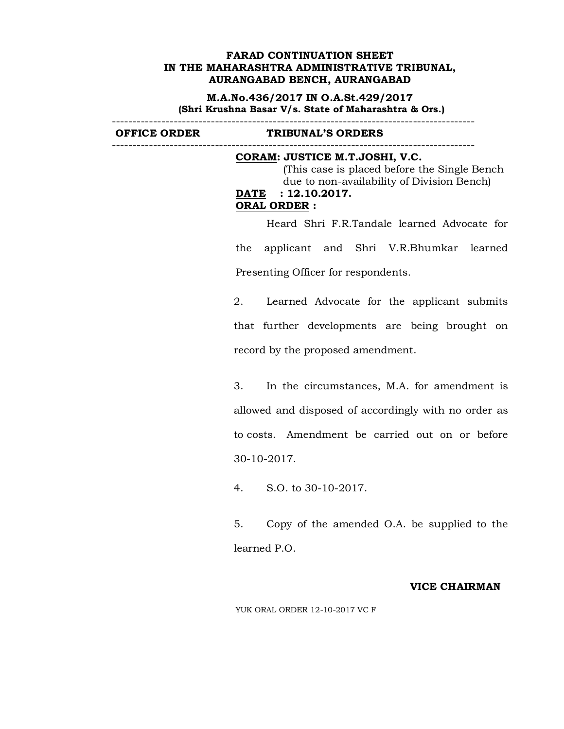**M.A.No.436/2017 IN O.A.St.429/2017 (Shri Krushna Basar V/s. State of Maharashtra & Ors.)**

----------------------------------------------------------------------------------------

**OFFICE ORDER TRIBUNAL'S ORDERS**  ----------------------------------------------------------------------------------------

## **CORAM: JUSTICE M.T.JOSHI, V.C.** (This case is placed before the Single Bench due to non-availability of Division Bench) **DATE : 12.10.2017. ORAL ORDER :**

Heard Shri F.R.Tandale learned Advocate for the applicant and Shri V.R.Bhumkar learned Presenting Officer for respondents.

2. Learned Advocate for the applicant submits that further developments are being brought on record by the proposed amendment.

3. In the circumstances, M.A. for amendment is allowed and disposed of accordingly with no order as to costs. Amendment be carried out on or before 30-10-2017.

4. S.O. to 30-10-2017.

5. Copy of the amended O.A. be supplied to the learned P.O.

#### **VICE CHAIRMAN**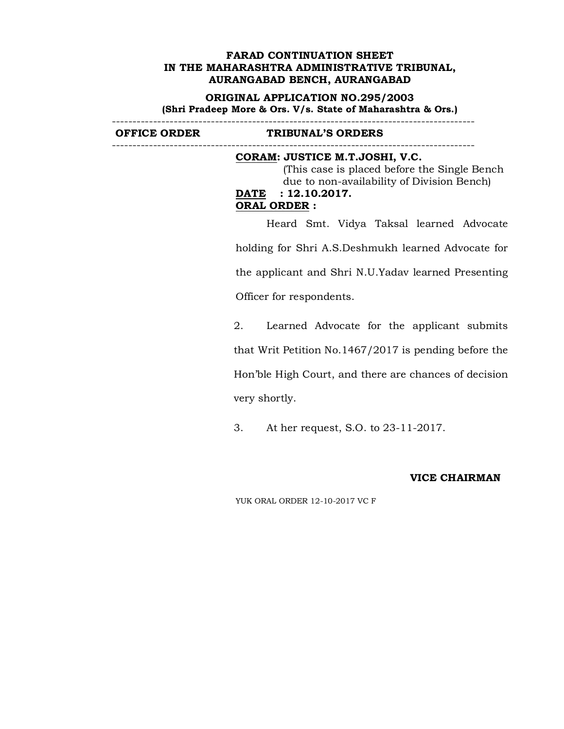#### **ORIGINAL APPLICATION NO.295/2003 (Shri Pradeep More & Ors. V/s. State of Maharashtra & Ors.)** ----------------------------------------------------------------------------------------

**OFFICE ORDER TRIBUNAL'S ORDERS** 

----------------------------------------------------------------------------------------

# **CORAM: JUSTICE M.T.JOSHI, V.C.**

 (This case is placed before the Single Bench due to non-availability of Division Bench) **DATE : 12.10.2017. ORAL ORDER :**

Heard Smt. Vidya Taksal learned Advocate holding for Shri A.S.Deshmukh learned Advocate for the applicant and Shri N.U.Yadav learned Presenting Officer for respondents.

2. Learned Advocate for the applicant submits that Writ Petition No.1467/2017 is pending before the Hon'ble High Court, and there are chances of decision very shortly.

3. At her request, S.O. to 23-11-2017.

# **VICE CHAIRMAN**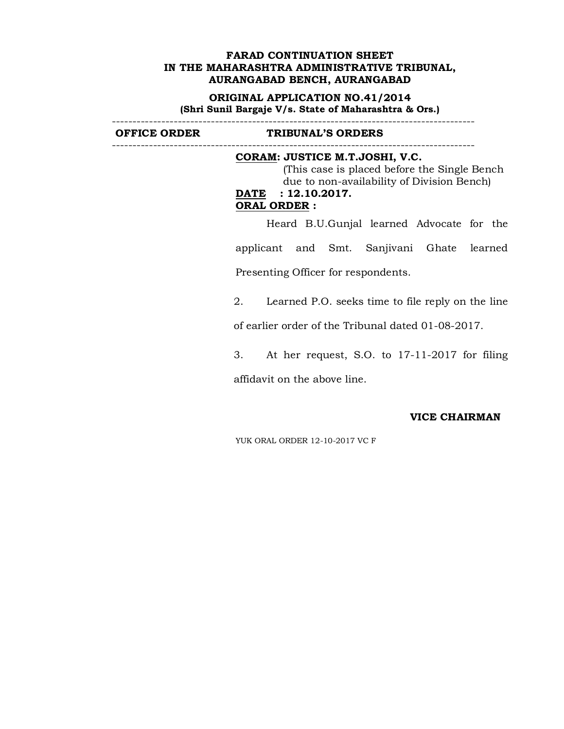#### **ORIGINAL APPLICATION NO.41/2014 (Shri Sunil Bargaje V/s. State of Maharashtra & Ors.)** ----------------------------------------------------------------------------------------

**OFFICE ORDER TRIBUNAL'S ORDERS**  ----------------------------------------------------------------------------------------

# **CORAM: JUSTICE M.T.JOSHI, V.C.**

 (This case is placed before the Single Bench due to non-availability of Division Bench) **DATE : 12.10.2017. ORAL ORDER :**

Heard B.U.Gunjal learned Advocate for the applicant and Smt. Sanjivani Ghate learned Presenting Officer for respondents.

2. Learned P.O. seeks time to file reply on the line

of earlier order of the Tribunal dated 01-08-2017.

3. At her request, S.O. to 17-11-2017 for filing affidavit on the above line.

#### **VICE CHAIRMAN**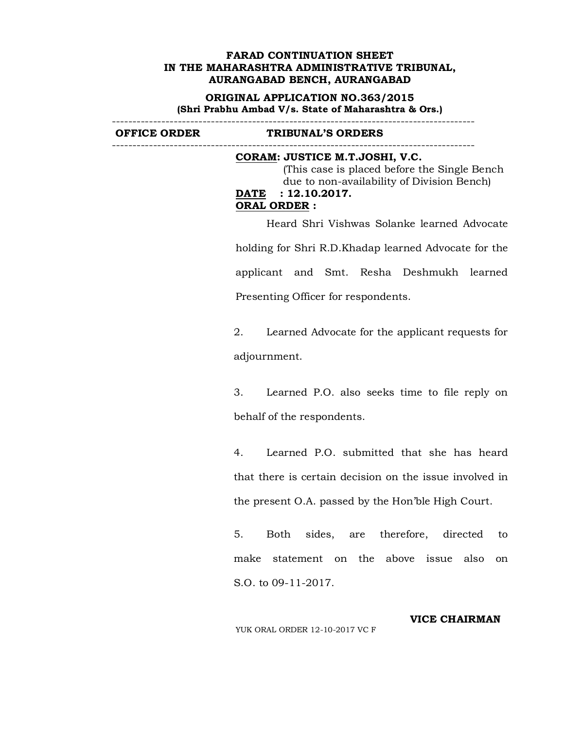**ORIGINAL APPLICATION NO.363/2015 (Shri Prabhu Ambad V/s. State of Maharashtra & Ors.)**

 $-$ 

**OFFICE ORDER TRIBUNAL'S ORDERS**  ----------------------------------------------------------------------------------------

## **CORAM: JUSTICE M.T.JOSHI, V.C.** (This case is placed before the Single Bench due to non-availability of Division Bench) **DATE : 12.10.2017. ORAL ORDER :**

Heard Shri Vishwas Solanke learned Advocate holding for Shri R.D.Khadap learned Advocate for the applicant and Smt. Resha Deshmukh learned Presenting Officer for respondents.

2. Learned Advocate for the applicant requests for adjournment.

3. Learned P.O. also seeks time to file reply on behalf of the respondents.

4. Learned P.O. submitted that she has heard that there is certain decision on the issue involved in the present O.A. passed by the Hon'ble High Court.

5. Both sides, are therefore, directed to make statement on the above issue also on S.O. to 09-11-2017.

YUK ORAL ORDER 12-10-2017 VC F

**VICE CHAIRMAN**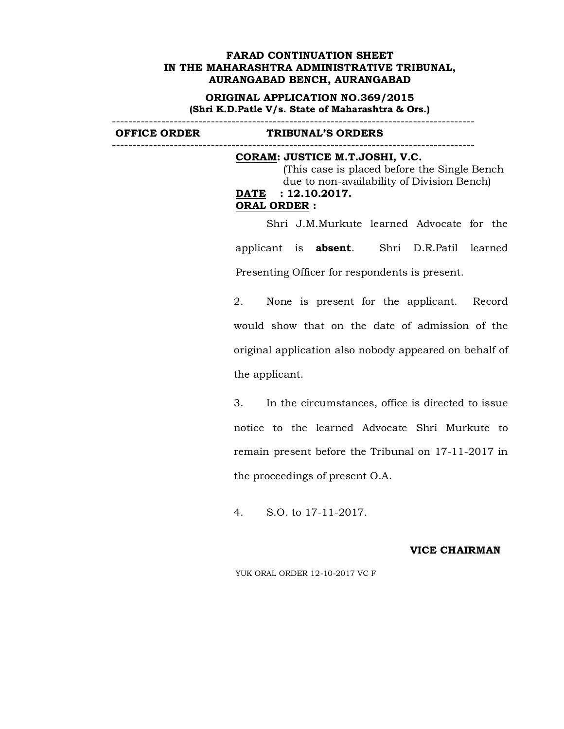**ORIGINAL APPLICATION NO.369/2015 (Shri K.D.Patle V/s. State of Maharashtra & Ors.)**

----------------------------------------------------------------------------------------

**OFFICE ORDER TRIBUNAL'S ORDERS**  ----------------------------------------------------------------------------------------

## **CORAM: JUSTICE M.T.JOSHI, V.C.** (This case is placed before the Single Bench due to non-availability of Division Bench) **DATE : 12.10.2017. ORAL ORDER :**

Shri J.M.Murkute learned Advocate for the applicant is **absent**. Shri D.R.Patil learned Presenting Officer for respondents is present.

2. None is present for the applicant. Record would show that on the date of admission of the original application also nobody appeared on behalf of the applicant.

3. In the circumstances, office is directed to issue notice to the learned Advocate Shri Murkute to remain present before the Tribunal on 17-11-2017 in the proceedings of present O.A.

4. S.O. to 17-11-2017.

#### **VICE CHAIRMAN**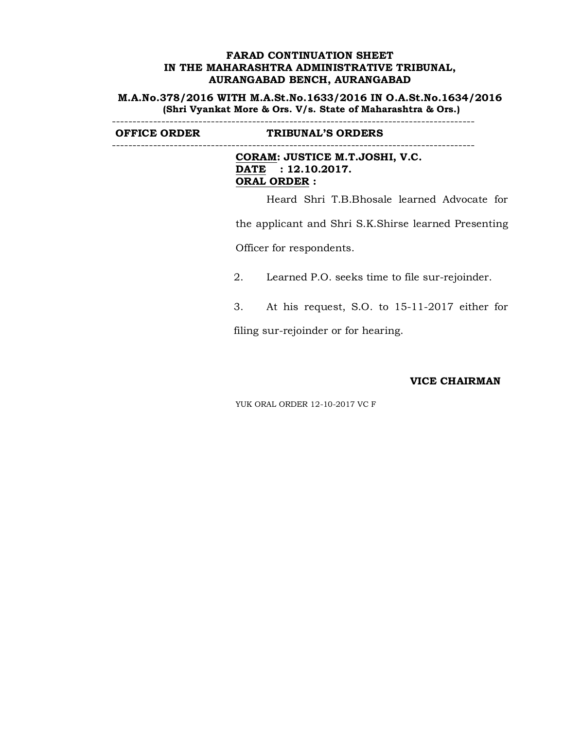**M.A.No.378/2016 WITH M.A.St.No.1633/2016 IN O.A.St.No.1634/2016 (Shri Vyankat More & Ors. V/s. State of Maharashtra & Ors.)**

----------------------------------------------------------------------------------------

**OFFICE ORDER TRIBUNAL'S ORDERS** 

----------------------------------------------------------------------------------------

**CORAM: JUSTICE M.T.JOSHI, V.C. DATE : 12.10.2017. ORAL ORDER :**

Heard Shri T.B.Bhosale learned Advocate for

the applicant and Shri S.K.Shirse learned Presenting

Officer for respondents.

2. Learned P.O. seeks time to file sur-rejoinder.

3. At his request, S.O. to 15-11-2017 either for

filing sur-rejoinder or for hearing.

## **VICE CHAIRMAN**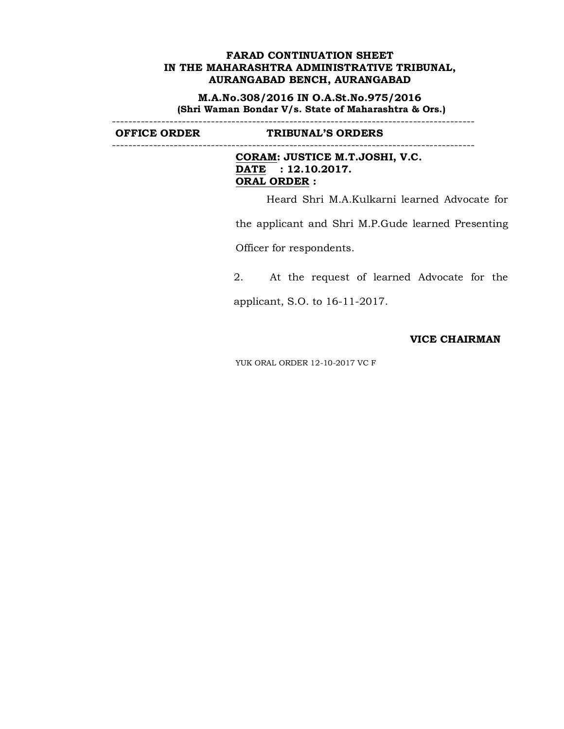**M.A.No.308/2016 IN O.A.St.No.975/2016 (Shri Waman Bondar V/s. State of Maharashtra & Ors.)**

----------------------------------------------------------------------------------------

**OFFICE ORDER TRIBUNAL'S ORDERS** 

----------------------------------------------------------------------------------------

**CORAM: JUSTICE M.T.JOSHI, V.C. DATE : 12.10.2017. ORAL ORDER :**

Heard Shri M.A.Kulkarni learned Advocate for

the applicant and Shri M.P.Gude learned Presenting

Officer for respondents.

2. At the request of learned Advocate for the

applicant, S.O. to 16-11-2017.

## **VICE CHAIRMAN**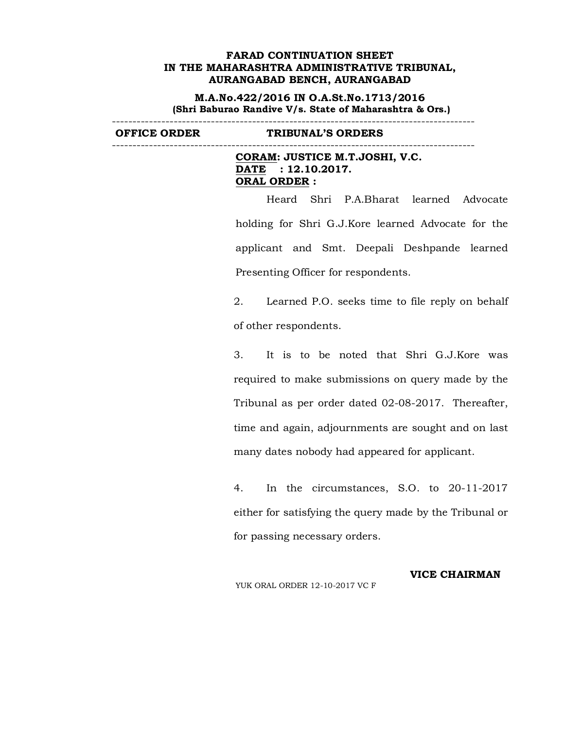**M.A.No.422/2016 IN O.A.St.No.1713/2016 (Shri Baburao Randive V/s. State of Maharashtra & Ors.)**

**OFFICE ORDER TRIBUNAL'S ORDERS** 

----------------------------------------------------------------------------------------

**CORAM: JUSTICE M.T.JOSHI, V.C. DATE : 12.10.2017. ORAL ORDER :**

----------------------------------------------------------------------------------------

Heard Shri P.A.Bharat learned Advocate holding for Shri G.J.Kore learned Advocate for the applicant and Smt. Deepali Deshpande learned Presenting Officer for respondents.

2. Learned P.O. seeks time to file reply on behalf of other respondents.

3. It is to be noted that Shri G.J.Kore was required to make submissions on query made by the Tribunal as per order dated 02-08-2017. Thereafter, time and again, adjournments are sought and on last many dates nobody had appeared for applicant.

4. In the circumstances, S.O. to 20-11-2017 either for satisfying the query made by the Tribunal or for passing necessary orders.

**VICE CHAIRMAN**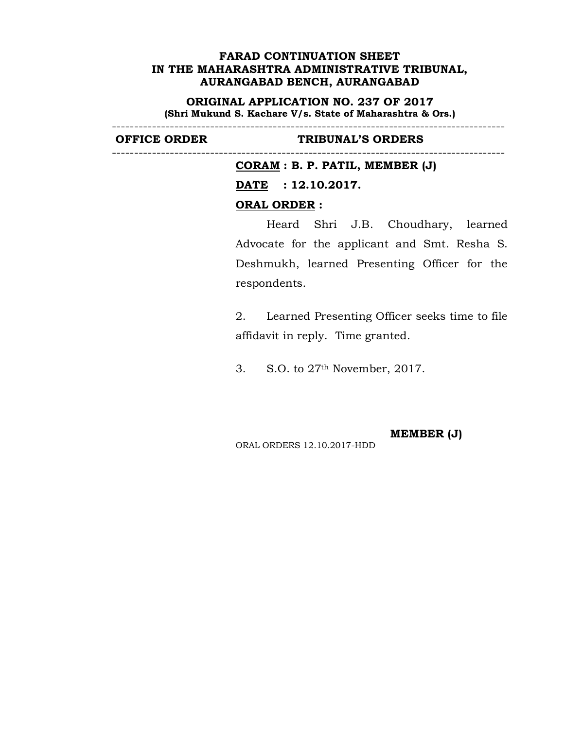**ORIGINAL APPLICATION NO. 237 OF 2017 (Shri Mukund S. Kachare V/s. State of Maharashtra & Ors.)**

----------------------------------------------------------------------------------------

----------------------------------------------------------------------------------------

#### **OFFICE ORDER TRIBUNAL'S ORDERS**

**CORAM : B. P. PATIL, MEMBER (J)**

**DATE : 12.10.2017.**

#### **ORAL ORDER :**

Heard Shri J.B. Choudhary, learned Advocate for the applicant and Smt. Resha S. Deshmukh, learned Presenting Officer for the respondents.

2. Learned Presenting Officer seeks time to file affidavit in reply. Time granted.

3. S.O. to 27th November, 2017.

**MEMBER (J)** ORAL ORDERS 12.10.2017-HDD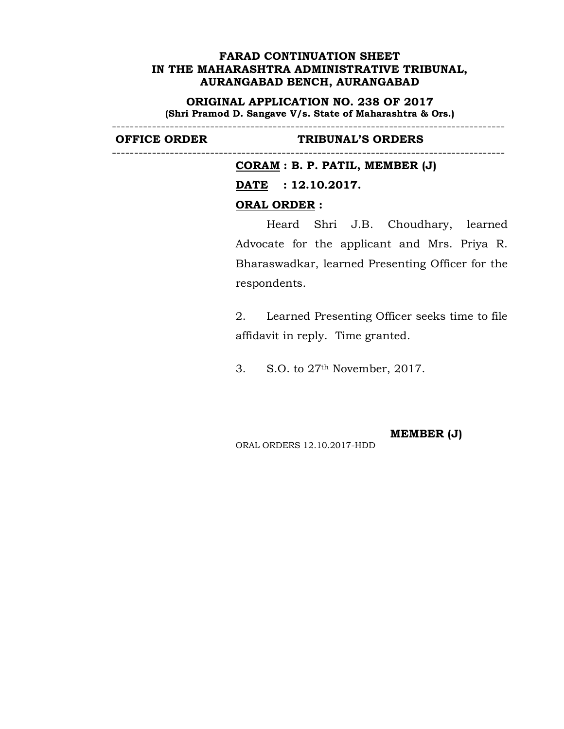**ORIGINAL APPLICATION NO. 238 OF 2017 (Shri Pramod D. Sangave V/s. State of Maharashtra & Ors.)**

----------------------------------------------------------------------------------------

#### **OFFICE ORDER TRIBUNAL'S ORDERS**

----------------------------------------------------------------------------------------

**CORAM : B. P. PATIL, MEMBER (J)**

**DATE : 12.10.2017.**

#### **ORAL ORDER :**

Heard Shri J.B. Choudhary, learned Advocate for the applicant and Mrs. Priya R. Bharaswadkar, learned Presenting Officer for the respondents.

2. Learned Presenting Officer seeks time to file affidavit in reply. Time granted.

3. S.O. to 27th November, 2017.

**MEMBER (J)** ORAL ORDERS 12.10.2017-HDD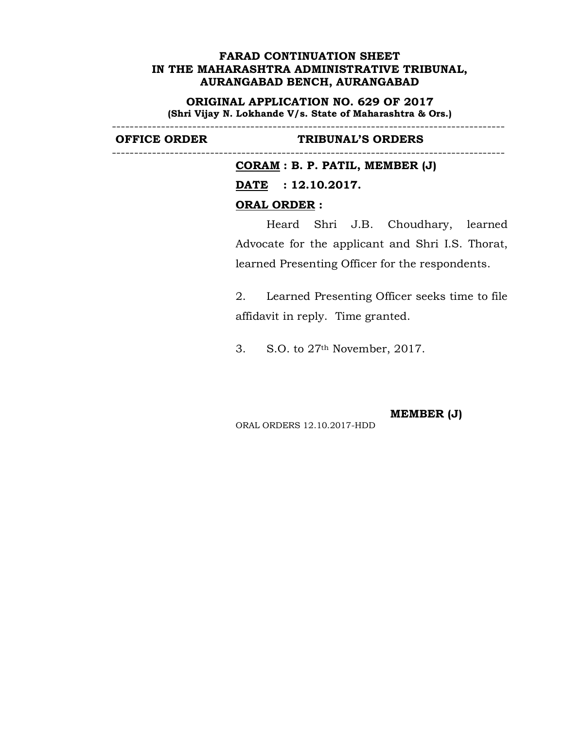**ORIGINAL APPLICATION NO. 629 OF 2017 (Shri Vijay N. Lokhande V/s. State of Maharashtra & Ors.)**

----------------------------------------------------------------------------------------

----------------------------------------------------------------------------------------

### **OFFICE ORDER TRIBUNAL'S ORDERS**

**CORAM : B. P. PATIL, MEMBER (J) DATE : 12.10.2017. ORAL ORDER :**

Heard Shri J.B. Choudhary, learned Advocate for the applicant and Shri I.S. Thorat, learned Presenting Officer for the respondents.

2. Learned Presenting Officer seeks time to file affidavit in reply. Time granted.

3. S.O. to 27th November, 2017.

**MEMBER (J)**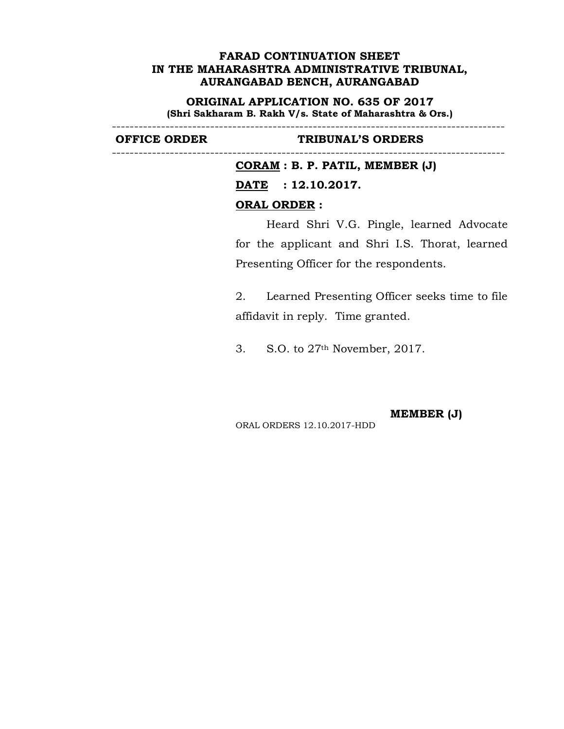**ORIGINAL APPLICATION NO. 635 OF 2017 (Shri Sakharam B. Rakh V/s. State of Maharashtra & Ors.)**

----------------------------------------------------------------------------------------

----------------------------------------------------------------------------------------

### **OFFICE ORDER TRIBUNAL'S ORDERS**

**CORAM : B. P. PATIL, MEMBER (J) DATE : 12.10.2017. ORAL ORDER :**

Heard Shri V.G. Pingle, learned Advocate for the applicant and Shri I.S. Thorat, learned Presenting Officer for the respondents.

2. Learned Presenting Officer seeks time to file affidavit in reply. Time granted.

3. S.O. to 27th November, 2017.

**MEMBER (J)**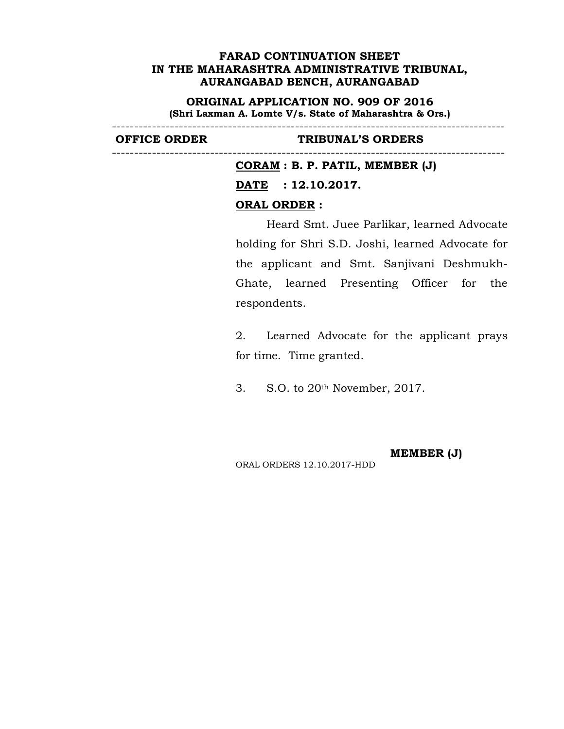**ORIGINAL APPLICATION NO. 909 OF 2016 (Shri Laxman A. Lomte V/s. State of Maharashtra & Ors.)**

----------------------------------------------------------------------------------------

----------------------------------------------------------------------------------------

## **OFFICE ORDER TRIBUNAL'S ORDERS**

**CORAM : B. P. PATIL, MEMBER (J) DATE : 12.10.2017. ORAL ORDER :**

Heard Smt. Juee Parlikar, learned Advocate holding for Shri S.D. Joshi, learned Advocate for the applicant and Smt. Sanjivani Deshmukh-Ghate, learned Presenting Officer for the respondents.

2. Learned Advocate for the applicant prays for time. Time granted.

3. S.O. to 20th November, 2017.

**MEMBER (J)**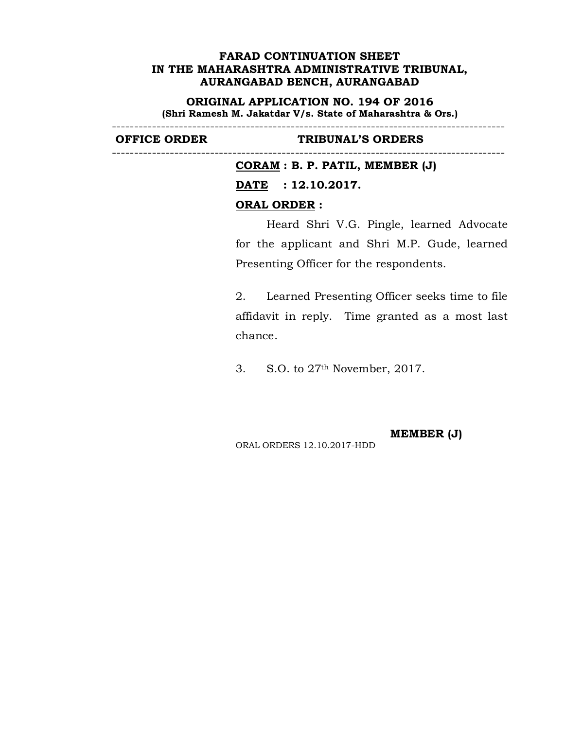**ORIGINAL APPLICATION NO. 194 OF 2016 (Shri Ramesh M. Jakatdar V/s. State of Maharashtra & Ors.)**

----------------------------------------------------------------------------------------

----------------------------------------------------------------------------------------

## **OFFICE ORDER TRIBUNAL'S ORDERS**

**CORAM : B. P. PATIL, MEMBER (J) DATE : 12.10.2017. ORAL ORDER :**

Heard Shri V.G. Pingle, learned Advocate for the applicant and Shri M.P. Gude, learned Presenting Officer for the respondents.

2. Learned Presenting Officer seeks time to file affidavit in reply. Time granted as a most last chance.

3. S.O. to 27th November, 2017.

**MEMBER (J)** ORAL ORDERS 12.10.2017-HDD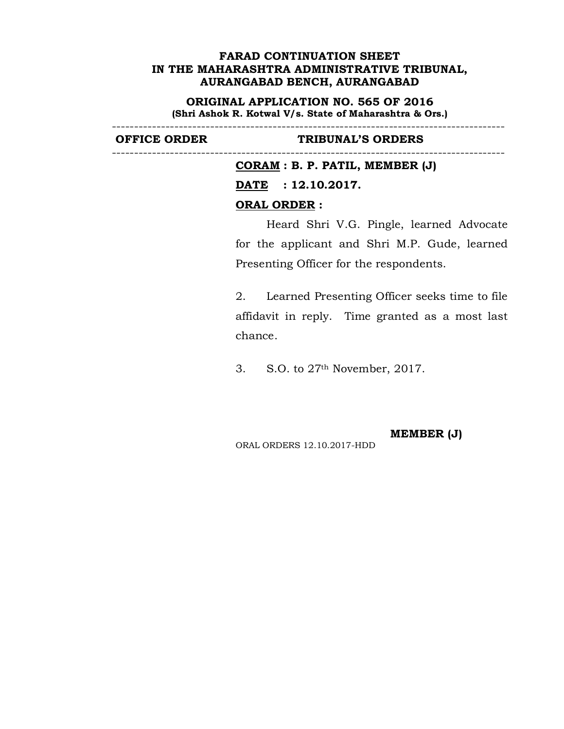**ORIGINAL APPLICATION NO. 565 OF 2016 (Shri Ashok R. Kotwal V/s. State of Maharashtra & Ors.)**

----------------------------------------------------------------------------------------

----------------------------------------------------------------------------------------

### **OFFICE ORDER TRIBUNAL'S ORDERS**

**CORAM : B. P. PATIL, MEMBER (J) DATE : 12.10.2017. ORAL ORDER :**

Heard Shri V.G. Pingle, learned Advocate for the applicant and Shri M.P. Gude, learned Presenting Officer for the respondents.

2. Learned Presenting Officer seeks time to file affidavit in reply. Time granted as a most last chance.

3. S.O. to 27th November, 2017.

**MEMBER (J)**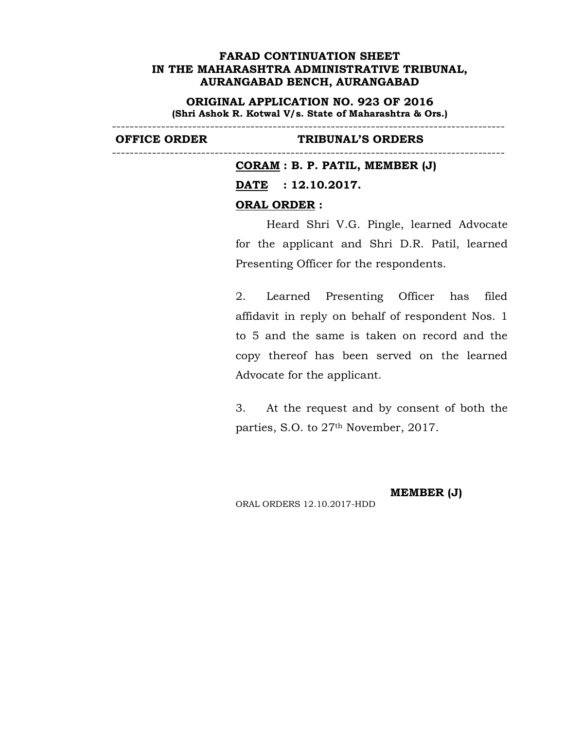**ORIGINAL APPLICATION NO. 923 OF 2016 (Shri Ashok R. Kotwal V/s. State of Maharashtra & Ors.)**

----------------------------------------------------------------------------------------

----------------------------------------------------------------------------------------

#### **OFFICE ORDER TRIBUNAL'S ORDERS**

**CORAM : B. P. PATIL, MEMBER (J) DATE : 12.10.2017. ORAL ORDER :**

Heard Shri V.G. Pingle, learned Advocate for the applicant and Shri D.R. Patil, learned Presenting Officer for the respondents.

2. Learned Presenting Officer has filed affidavit in reply on behalf of respondent Nos. 1 to 5 and the same is taken on record and the copy thereof has been served on the learned Advocate for the applicant.

3. At the request and by consent of both the parties, S.O. to 27<sup>th</sup> November, 2017.

**MEMBER (J)**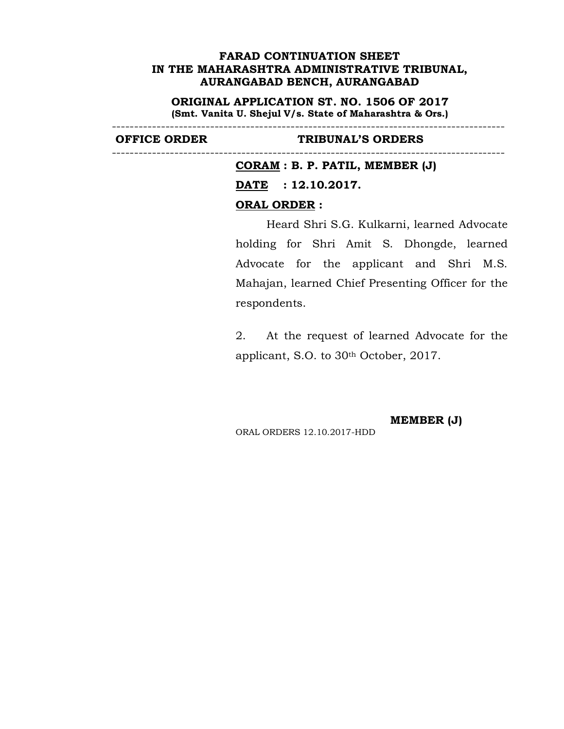**ORIGINAL APPLICATION ST. NO. 1506 OF 2017 (Smt. Vanita U. Shejul V/s. State of Maharashtra & Ors.)**

----------------------------------------------------------------------------------------

----------------------------------------------------------------------------------------

### **OFFICE ORDER TRIBUNAL'S ORDERS**

**CORAM : B. P. PATIL, MEMBER (J)**

**DATE : 12.10.2017.**

# **ORAL ORDER :**

Heard Shri S.G. Kulkarni, learned Advocate holding for Shri Amit S. Dhongde, learned Advocate for the applicant and Shri M.S. Mahajan, learned Chief Presenting Officer for the respondents.

2. At the request of learned Advocate for the applicant, S.O. to 30th October, 2017.

**MEMBER (J)**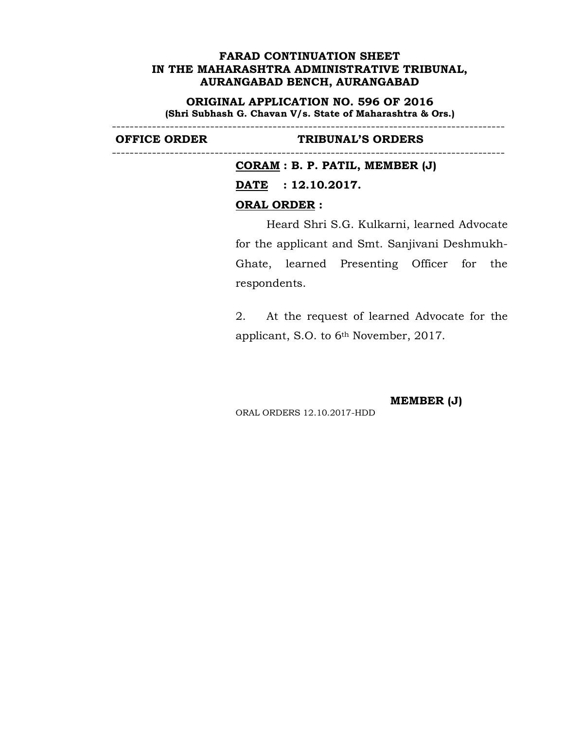**ORIGINAL APPLICATION NO. 596 OF 2016 (Shri Subhash G. Chavan V/s. State of Maharashtra & Ors.)**

----------------------------------------------------------------------------------------

----------------------------------------------------------------------------------------

### **OFFICE ORDER TRIBUNAL'S ORDERS**

**CORAM : B. P. PATIL, MEMBER (J) DATE : 12.10.2017. ORAL ORDER :**

Heard Shri S.G. Kulkarni, learned Advocate for the applicant and Smt. Sanjivani Deshmukh-Ghate, learned Presenting Officer for the respondents.

2. At the request of learned Advocate for the applicant, S.O. to 6th November, 2017.

**MEMBER (J)**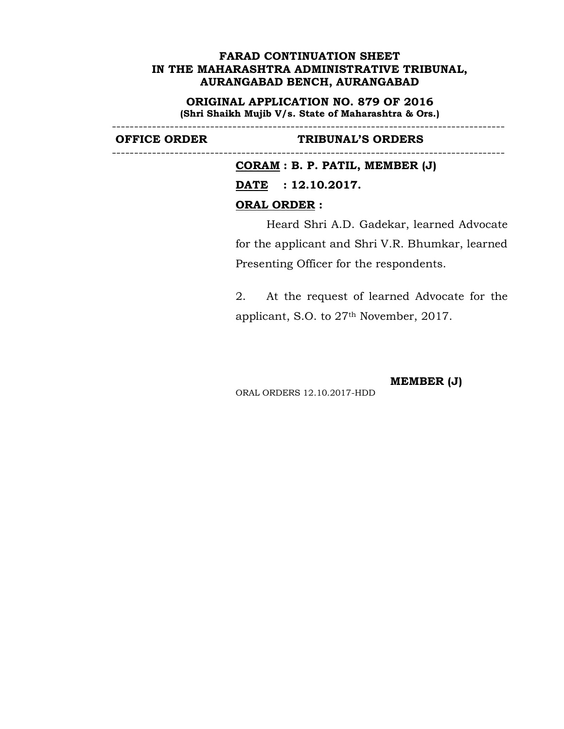**ORIGINAL APPLICATION NO. 879 OF 2016 (Shri Shaikh Mujib V/s. State of Maharashtra & Ors.)**

----------------------------------------------------------------------------------------

----------------------------------------------------------------------------------------

### **OFFICE ORDER TRIBUNAL'S ORDERS**

**CORAM : B. P. PATIL, MEMBER (J) DATE : 12.10.2017. ORAL ORDER :**

Heard Shri A.D. Gadekar, learned Advocate for the applicant and Shri V.R. Bhumkar, learned Presenting Officer for the respondents.

2. At the request of learned Advocate for the applicant, S.O. to 27th November, 2017.

**MEMBER (J)**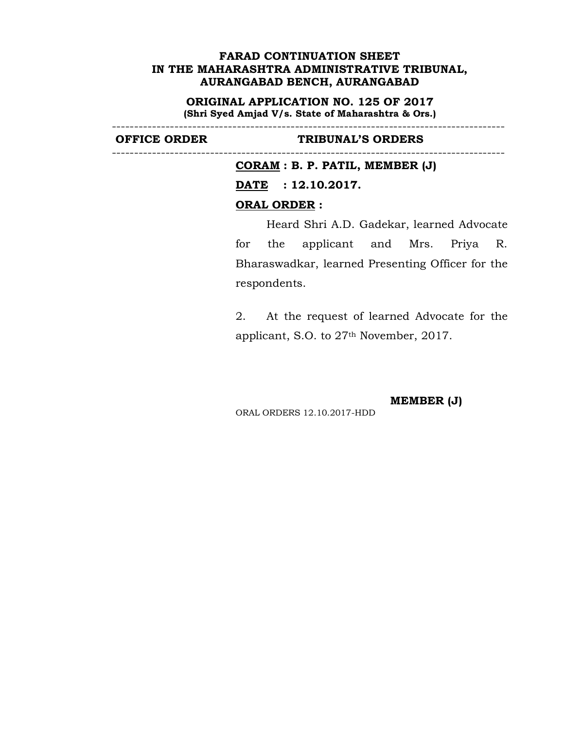**ORIGINAL APPLICATION NO. 125 OF 2017 (Shri Syed Amjad V/s. State of Maharashtra & Ors.)**

----------------------------------------------------------------------------------------

----------------------------------------------------------------------------------------

#### **OFFICE ORDER TRIBUNAL'S ORDERS**

**CORAM : B. P. PATIL, MEMBER (J)**

**DATE : 12.10.2017.**

### **ORAL ORDER :**

Heard Shri A.D. Gadekar, learned Advocate for the applicant and Mrs. Priya R. Bharaswadkar, learned Presenting Officer for the respondents.

2. At the request of learned Advocate for the applicant, S.O. to 27th November, 2017.

**MEMBER (J)**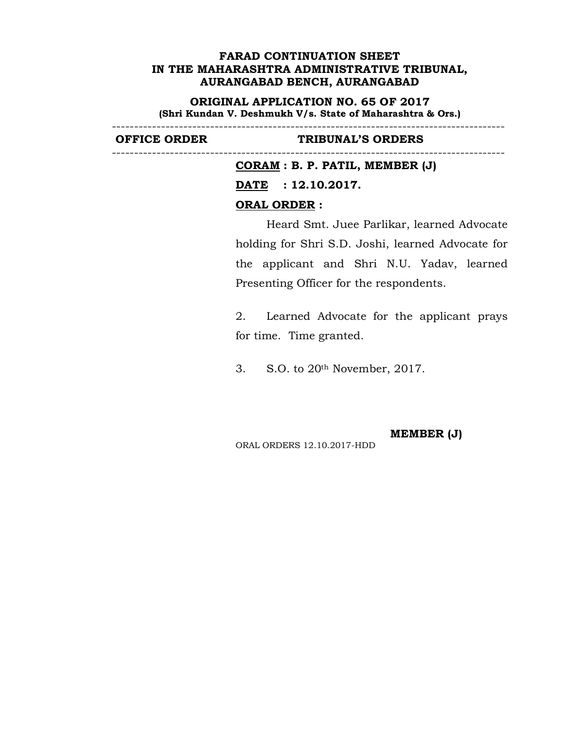**ORIGINAL APPLICATION NO. 65 OF 2017 (Shri Kundan V. Deshmukh V/s. State of Maharashtra & Ors.)**

----------------------------------------------------------------------------------------

----------------------------------------------------------------------------------------

### **OFFICE ORDER TRIBUNAL'S ORDERS**

**CORAM : B. P. PATIL, MEMBER (J) DATE : 12.10.2017. ORAL ORDER :**

Heard Smt. Juee Parlikar, learned Advocate holding for Shri S.D. Joshi, learned Advocate for the applicant and Shri N.U. Yadav, learned Presenting Officer for the respondents.

2. Learned Advocate for the applicant prays for time. Time granted.

3. S.O. to 20th November, 2017.

**MEMBER (J)** ORAL ORDERS 12.10.2017-HDD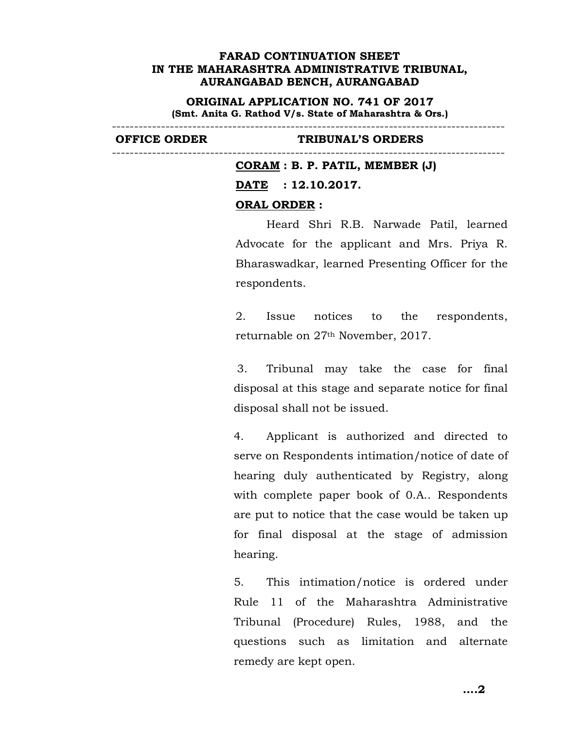**ORIGINAL APPLICATION NO. 741 OF 2017 (Smt. Anita G. Rathod V/s. State of Maharashtra & Ors.)**

----------------------------------------------------------------------------------------

----------------------------------------------------------------------------------------

### **OFFICE ORDER TRIBUNAL'S ORDERS**

**CORAM : B. P. PATIL, MEMBER (J) DATE : 12.10.2017. ORAL ORDER :**

Heard Shri R.B. Narwade Patil, learned Advocate for the applicant and Mrs. Priya R. Bharaswadkar, learned Presenting Officer for the respondents.

2. Issue notices to the respondents, returnable on 27th November, 2017.

3. Tribunal may take the case for final disposal at this stage and separate notice for final disposal shall not be issued.

4. Applicant is authorized and directed to serve on Respondents intimation/notice of date of hearing duly authenticated by Registry, along with complete paper book of 0.A.. Respondents are put to notice that the case would be taken up for final disposal at the stage of admission hearing.

5. This intimation/notice is ordered under Rule 11 of the Maharashtra Administrative Tribunal (Procedure) Rules, 1988, and the questions such as limitation and alternate remedy are kept open.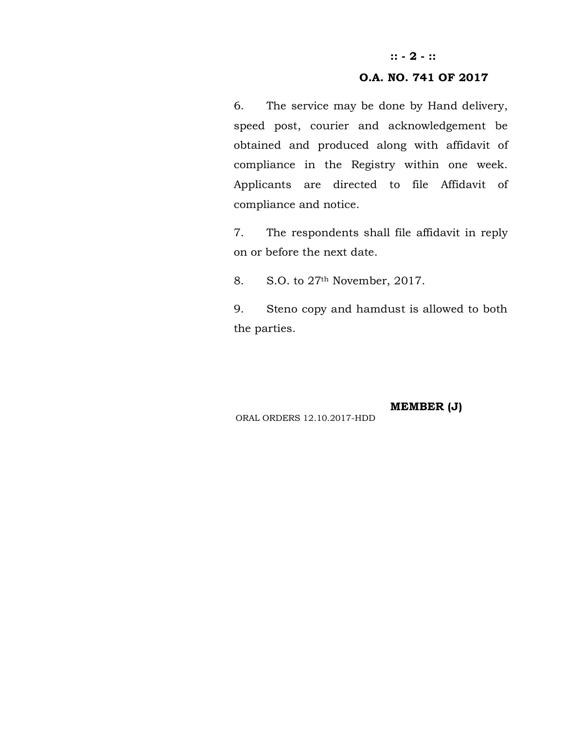# **:: - 2 - ::**

# **O.A. NO. 741 OF 2017**

6. The service may be done by Hand delivery, speed post, courier and acknowledgement be obtained and produced along with affidavit of compliance in the Registry within one week. Applicants are directed to file Affidavit of compliance and notice.

7. The respondents shall file affidavit in reply on or before the next date.

8. S.O. to 27th November, 2017.

9. Steno copy and hamdust is allowed to both the parties.

**MEMBER (J)**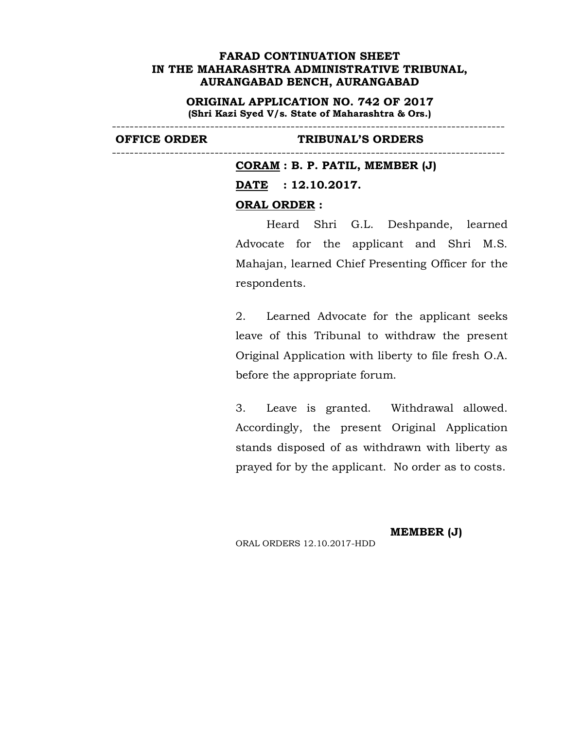**ORIGINAL APPLICATION NO. 742 OF 2017 (Shri Kazi Syed V/s. State of Maharashtra & Ors.)**

----------------------------------------------------------------------------------------

----------------------------------------------------------------------------------------

### **OFFICE ORDER TRIBUNAL'S ORDERS**

**CORAM : B. P. PATIL, MEMBER (J) DATE : 12.10.2017. ORAL ORDER :**

Heard Shri G.L. Deshpande, learned Advocate for the applicant and Shri M.S. Mahajan, learned Chief Presenting Officer for the respondents.

2. Learned Advocate for the applicant seeks leave of this Tribunal to withdraw the present Original Application with liberty to file fresh O.A. before the appropriate forum.

3. Leave is granted. Withdrawal allowed. Accordingly, the present Original Application stands disposed of as withdrawn with liberty as prayed for by the applicant. No order as to costs.

ORAL ORDERS 12.10.2017-HDD

**MEMBER (J)**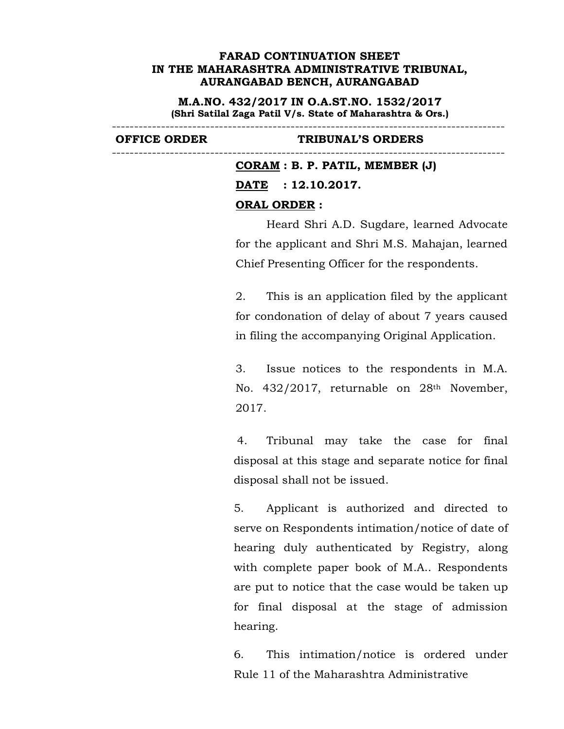**M.A.NO. 432/2017 IN O.A.ST.NO. 1532/2017 (Shri Satilal Zaga Patil V/s. State of Maharashtra & Ors.)**

----------------------------------------------------------------------------------------

----------------------------------------------------------------------------------------

#### **OFFICE ORDER TRIBUNAL'S ORDERS**

**CORAM : B. P. PATIL, MEMBER (J) DATE : 12.10.2017. ORAL ORDER :**

Heard Shri A.D. Sugdare, learned Advocate for the applicant and Shri M.S. Mahajan, learned Chief Presenting Officer for the respondents.

2. This is an application filed by the applicant for condonation of delay of about 7 years caused in filing the accompanying Original Application.

3. Issue notices to the respondents in M.A. No. 432/2017, returnable on 28th November, 2017.

4. Tribunal may take the case for final disposal at this stage and separate notice for final disposal shall not be issued.

5. Applicant is authorized and directed to serve on Respondents intimation/notice of date of hearing duly authenticated by Registry, along with complete paper book of M.A.. Respondents are put to notice that the case would be taken up for final disposal at the stage of admission hearing.

6. This intimation/notice is ordered under Rule 11 of the Maharashtra Administrative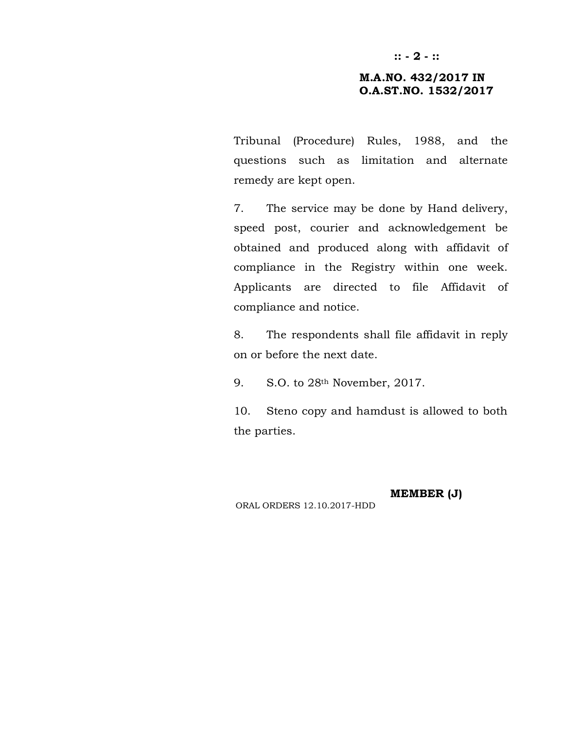# **M.A.NO. 432/2017 IN O.A.ST.NO. 1532/2017**

Tribunal (Procedure) Rules, 1988, and the questions such as limitation and alternate remedy are kept open.

7. The service may be done by Hand delivery, speed post, courier and acknowledgement be obtained and produced along with affidavit of compliance in the Registry within one week. Applicants are directed to file Affidavit of compliance and notice.

8. The respondents shall file affidavit in reply on or before the next date.

9. S.O. to 28th November, 2017.

10. Steno copy and hamdust is allowed to both the parties.

**MEMBER (J)**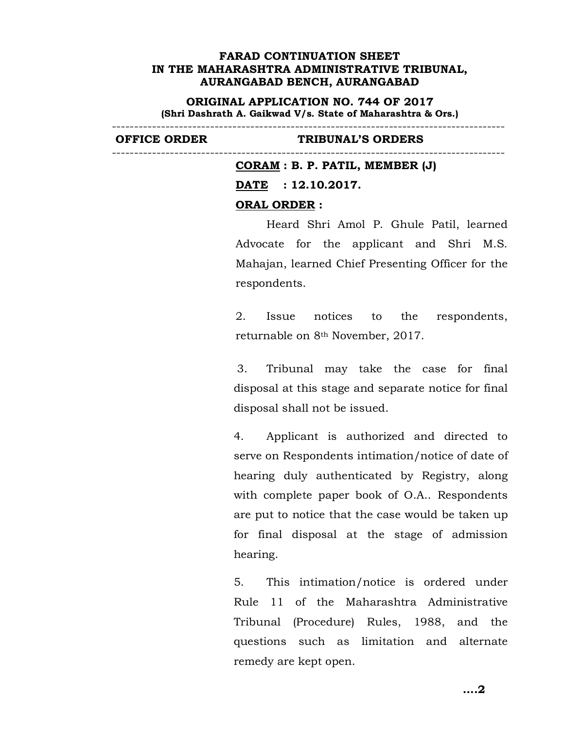**ORIGINAL APPLICATION NO. 744 OF 2017 (Shri Dashrath A. Gaikwad V/s. State of Maharashtra & Ors.)**

---------------------------------------------------------------------------------------- ----------------------------------------------------------------------------------------

### **OFFICE ORDER TRIBUNAL'S ORDERS**

**CORAM : B. P. PATIL, MEMBER (J) DATE : 12.10.2017. ORAL ORDER :**

Heard Shri Amol P. Ghule Patil, learned Advocate for the applicant and Shri M.S. Mahajan, learned Chief Presenting Officer for the respondents.

2. Issue notices to the respondents, returnable on 8th November, 2017.

3. Tribunal may take the case for final disposal at this stage and separate notice for final disposal shall not be issued.

4. Applicant is authorized and directed to serve on Respondents intimation/notice of date of hearing duly authenticated by Registry, along with complete paper book of O.A.. Respondents are put to notice that the case would be taken up for final disposal at the stage of admission hearing.

5. This intimation/notice is ordered under Rule 11 of the Maharashtra Administrative Tribunal (Procedure) Rules, 1988, and the questions such as limitation and alternate remedy are kept open.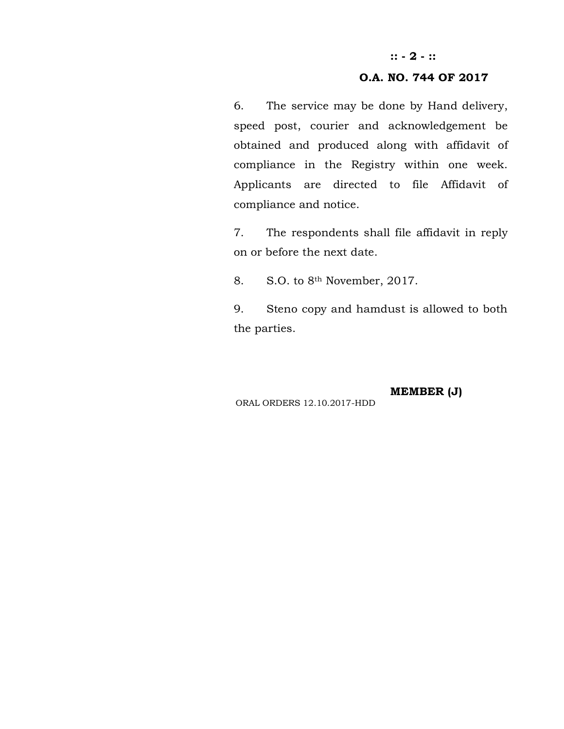# **:: - 2 - ::**

# **O.A. NO. 744 OF 2017**

6. The service may be done by Hand delivery, speed post, courier and acknowledgement be obtained and produced along with affidavit of compliance in the Registry within one week. Applicants are directed to file Affidavit of compliance and notice.

7. The respondents shall file affidavit in reply on or before the next date.

8. S.O. to 8th November, 2017.

9. Steno copy and hamdust is allowed to both the parties.

**MEMBER (J)**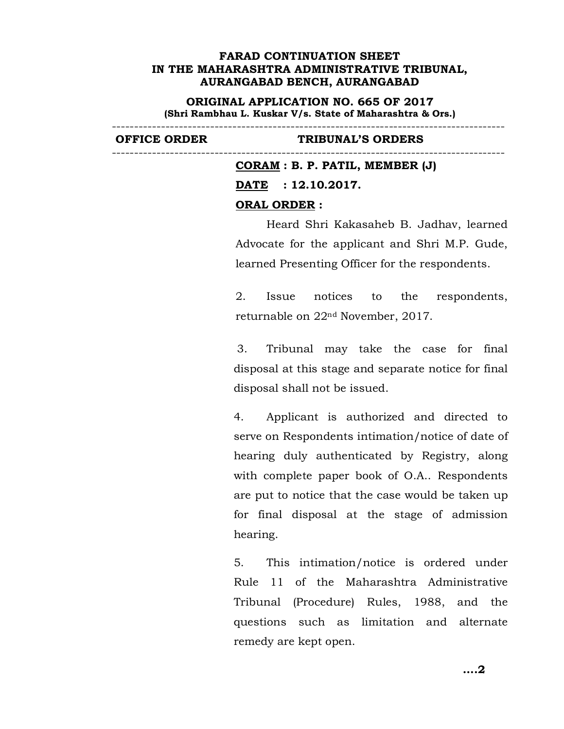**ORIGINAL APPLICATION NO. 665 OF 2017 (Shri Rambhau L. Kuskar V/s. State of Maharashtra & Ors.)**

----------------------------------------------------------------------------------------

----------------------------------------------------------------------------------------

#### **OFFICE ORDER TRIBUNAL'S ORDERS**

**CORAM : B. P. PATIL, MEMBER (J) DATE : 12.10.2017. ORAL ORDER :**

Heard Shri Kakasaheb B. Jadhav, learned Advocate for the applicant and Shri M.P. Gude, learned Presenting Officer for the respondents.

2. Issue notices to the respondents, returnable on 22nd November, 2017.

3. Tribunal may take the case for final disposal at this stage and separate notice for final disposal shall not be issued.

4. Applicant is authorized and directed to serve on Respondents intimation/notice of date of hearing duly authenticated by Registry, along with complete paper book of O.A.. Respondents are put to notice that the case would be taken up for final disposal at the stage of admission hearing.

5. This intimation/notice is ordered under Rule 11 of the Maharashtra Administrative Tribunal (Procedure) Rules, 1988, and the questions such as limitation and alternate remedy are kept open.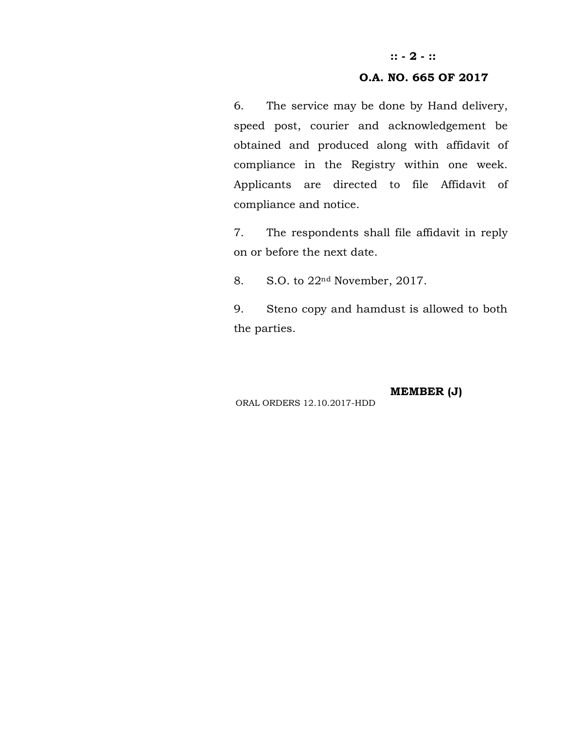# **:: - 2 - ::**

# **O.A. NO. 665 OF 2017**

6. The service may be done by Hand delivery, speed post, courier and acknowledgement be obtained and produced along with affidavit of compliance in the Registry within one week. Applicants are directed to file Affidavit of compliance and notice.

7. The respondents shall file affidavit in reply on or before the next date.

8. S.O. to 22nd November, 2017.

9. Steno copy and hamdust is allowed to both the parties.

**MEMBER (J)**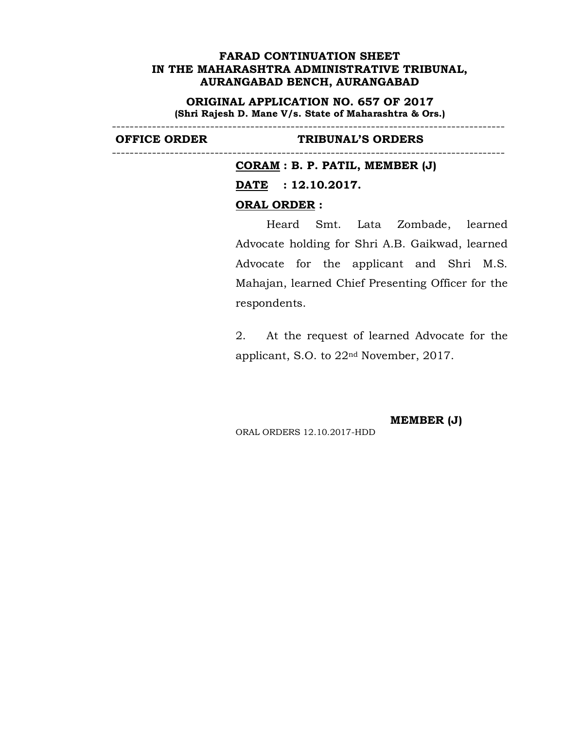**ORIGINAL APPLICATION NO. 657 OF 2017 (Shri Rajesh D. Mane V/s. State of Maharashtra & Ors.)**

----------------------------------------------------------------------------------------

----------------------------------------------------------------------------------------

### **OFFICE ORDER TRIBUNAL'S ORDERS**

**CORAM : B. P. PATIL, MEMBER (J)**

**DATE : 12.10.2017.**

### **ORAL ORDER :**

Heard Smt. Lata Zombade, learned Advocate holding for Shri A.B. Gaikwad, learned Advocate for the applicant and Shri M.S. Mahajan, learned Chief Presenting Officer for the respondents.

2. At the request of learned Advocate for the applicant, S.O. to 22nd November, 2017.

**MEMBER (J)**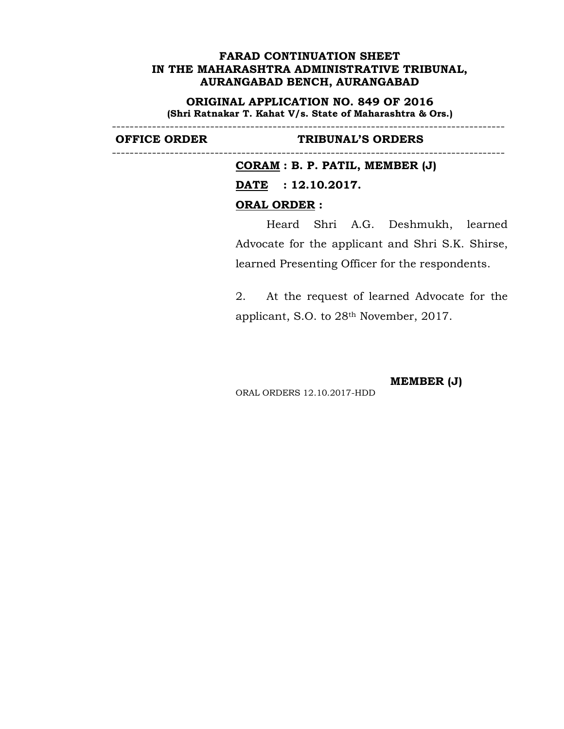**ORIGINAL APPLICATION NO. 849 OF 2016 (Shri Ratnakar T. Kahat V/s. State of Maharashtra & Ors.)**

----------------------------------------------------------------------------------------

----------------------------------------------------------------------------------------

### **OFFICE ORDER TRIBUNAL'S ORDERS**

**CORAM : B. P. PATIL, MEMBER (J) DATE : 12.10.2017. ORAL ORDER :**

Heard Shri A.G. Deshmukh, learned Advocate for the applicant and Shri S.K. Shirse, learned Presenting Officer for the respondents.

2. At the request of learned Advocate for the applicant, S.O. to 28th November, 2017.

**MEMBER (J)**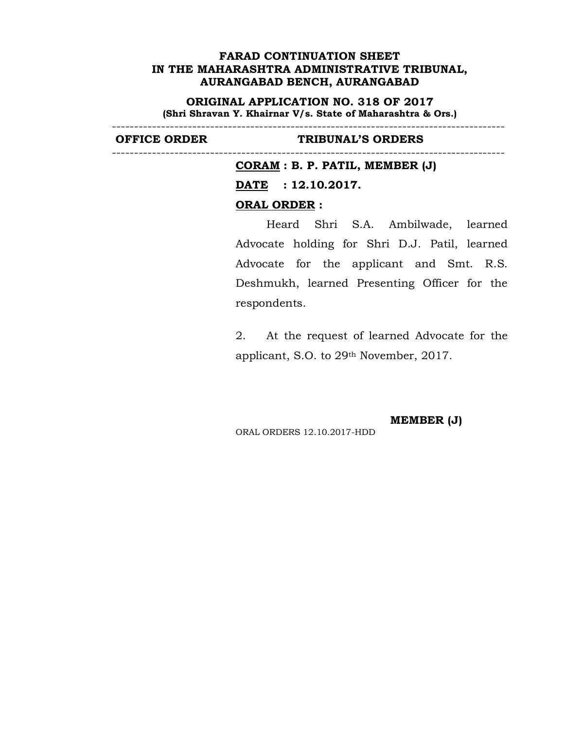**ORIGINAL APPLICATION NO. 318 OF 2017 (Shri Shravan Y. Khairnar V/s. State of Maharashtra & Ors.)**

----------------------------------------------------------------------------------------

----------------------------------------------------------------------------------------

### **OFFICE ORDER TRIBUNAL'S ORDERS**

**CORAM : B. P. PATIL, MEMBER (J)**

**DATE : 12.10.2017.**

#### **ORAL ORDER :**

Heard Shri S.A. Ambilwade, learned Advocate holding for Shri D.J. Patil, learned Advocate for the applicant and Smt. R.S. Deshmukh, learned Presenting Officer for the respondents.

2. At the request of learned Advocate for the applicant, S.O. to 29th November, 2017.

**MEMBER (J)**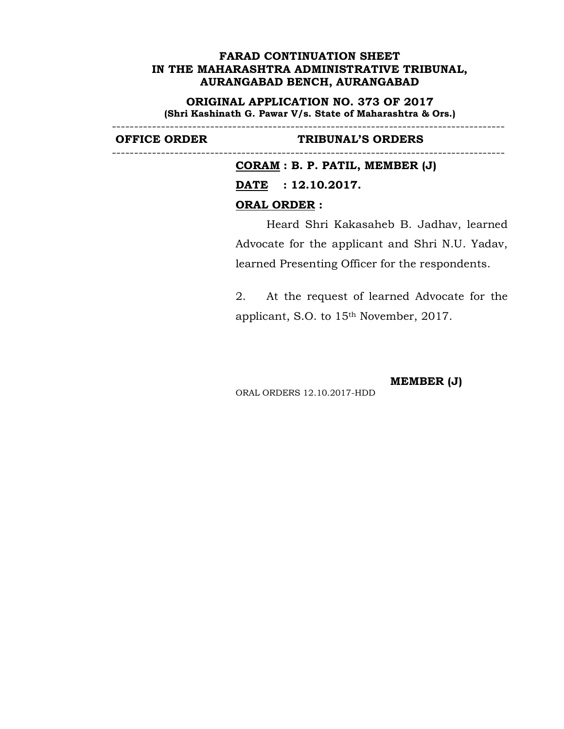**ORIGINAL APPLICATION NO. 373 OF 2017 (Shri Kashinath G. Pawar V/s. State of Maharashtra & Ors.)**

----------------------------------------------------------------------------------------

----------------------------------------------------------------------------------------

### **OFFICE ORDER TRIBUNAL'S ORDERS**

**CORAM : B. P. PATIL, MEMBER (J) DATE : 12.10.2017. ORAL ORDER :**

Heard Shri Kakasaheb B. Jadhav, learned Advocate for the applicant and Shri N.U. Yadav, learned Presenting Officer for the respondents.

2. At the request of learned Advocate for the applicant, S.O. to 15th November, 2017.

**MEMBER (J)**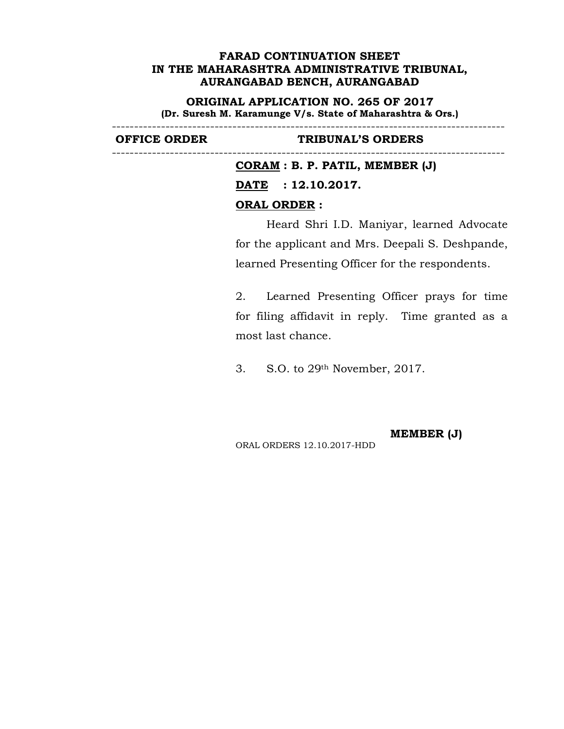**ORIGINAL APPLICATION NO. 265 OF 2017 (Dr. Suresh M. Karamunge V/s. State of Maharashtra & Ors.)**

----------------------------------------------------------------------------------------

----------------------------------------------------------------------------------------

## **OFFICE ORDER TRIBUNAL'S ORDERS**

**CORAM : B. P. PATIL, MEMBER (J) DATE : 12.10.2017. ORAL ORDER :**

Heard Shri I.D. Maniyar, learned Advocate for the applicant and Mrs. Deepali S. Deshpande, learned Presenting Officer for the respondents.

2. Learned Presenting Officer prays for time for filing affidavit in reply. Time granted as a most last chance.

3. S.O. to 29th November, 2017.

ORAL ORDERS 12.10.2017-HDD

**MEMBER (J)**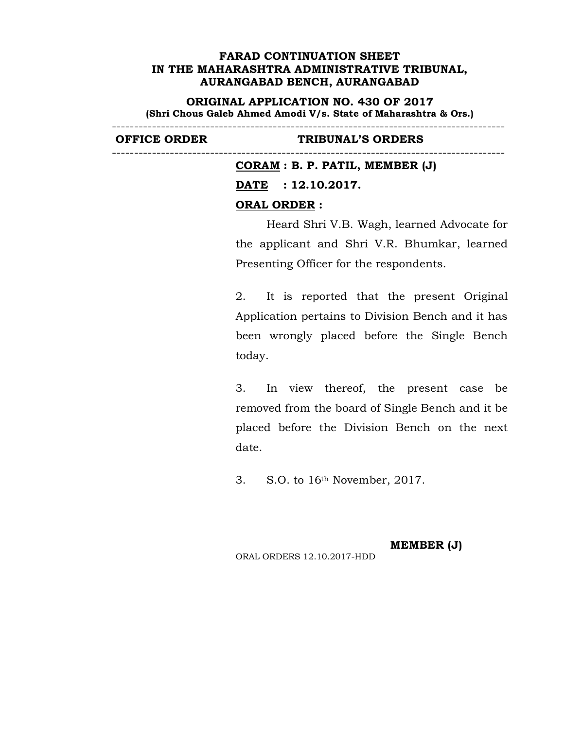**ORIGINAL APPLICATION NO. 430 OF 2017 (Shri Chous Galeb Ahmed Amodi V/s. State of Maharashtra & Ors.)**

----------------------------------------------------------------------------------------

----------------------------------------------------------------------------------------

### **OFFICE ORDER TRIBUNAL'S ORDERS**

**CORAM : B. P. PATIL, MEMBER (J) DATE : 12.10.2017. ORAL ORDER :**

Heard Shri V.B. Wagh, learned Advocate for the applicant and Shri V.R. Bhumkar, learned Presenting Officer for the respondents.

2. It is reported that the present Original Application pertains to Division Bench and it has been wrongly placed before the Single Bench today.

3. In view thereof, the present case be removed from the board of Single Bench and it be placed before the Division Bench on the next date.

3. S.O. to 16th November, 2017.

**MEMBER (J)**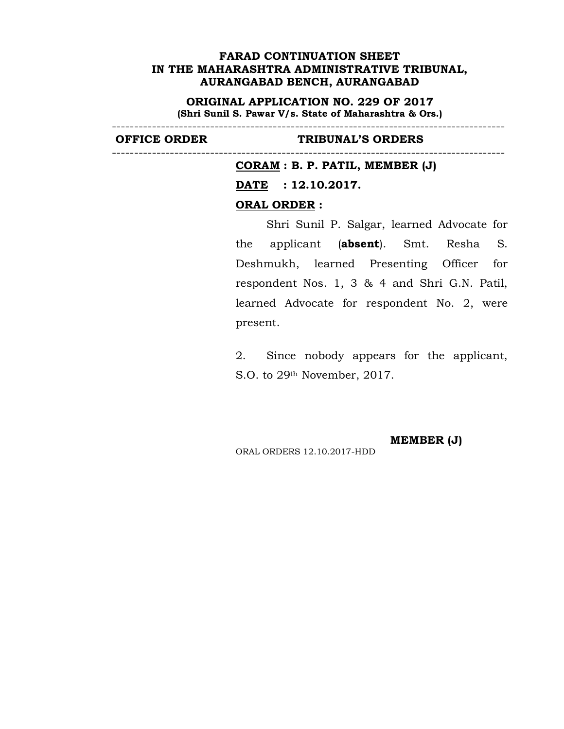**ORIGINAL APPLICATION NO. 229 OF 2017 (Shri Sunil S. Pawar V/s. State of Maharashtra & Ors.)**

----------------------------------------------------------------------------------------

----------------------------------------------------------------------------------------

#### **OFFICE ORDER TRIBUNAL'S ORDERS**

**CORAM : B. P. PATIL, MEMBER (J)**

**DATE : 12.10.2017.**

### **ORAL ORDER :**

Shri Sunil P. Salgar, learned Advocate for the applicant (**absent**). Smt. Resha S. Deshmukh, learned Presenting Officer for respondent Nos. 1, 3 & 4 and Shri G.N. Patil, learned Advocate for respondent No. 2, were present.

2. Since nobody appears for the applicant, S.O. to 29th November, 2017.

**MEMBER (J)**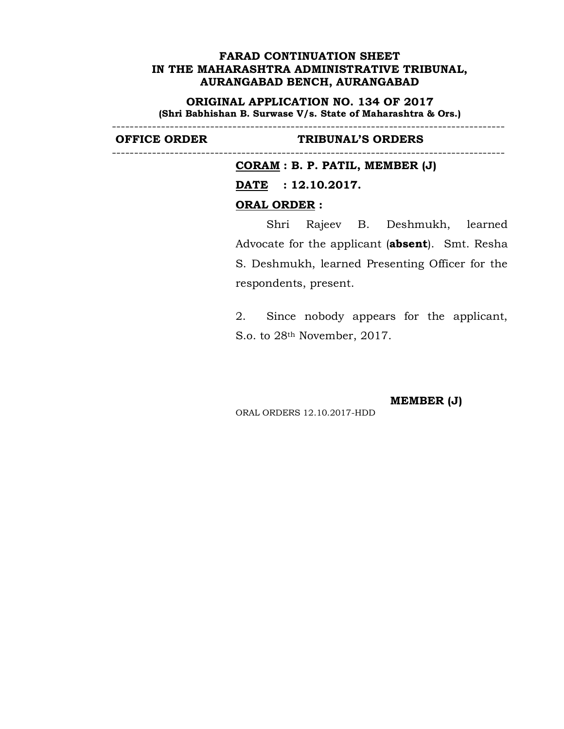**ORIGINAL APPLICATION NO. 134 OF 2017 (Shri Babhishan B. Surwase V/s. State of Maharashtra & Ors.)**

----------------------------------------------------------------------------------------

----------------------------------------------------------------------------------------

### **OFFICE ORDER TRIBUNAL'S ORDERS**

**CORAM : B. P. PATIL, MEMBER (J)**

**DATE : 12.10.2017.**

## **ORAL ORDER :**

Shri Rajeev B. Deshmukh, learned Advocate for the applicant (**absent**). Smt. Resha S. Deshmukh, learned Presenting Officer for the respondents, present.

2. Since nobody appears for the applicant, S.o. to 28th November, 2017.

**MEMBER (J)**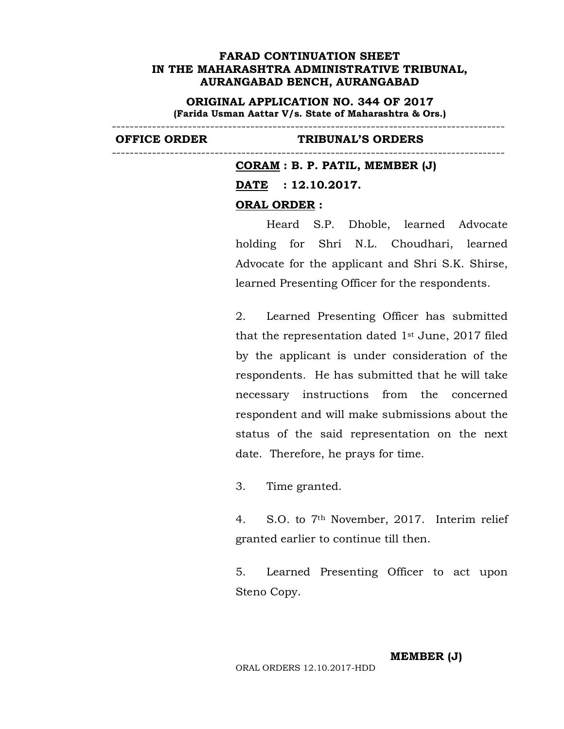**ORIGINAL APPLICATION NO. 344 OF 2017 (Farida Usman Aattar V/s. State of Maharashtra & Ors.)**

----------------------------------------------------------------------------------------

----------------------------------------------------------------------------------------

### **OFFICE ORDER TRIBUNAL'S ORDERS**

**CORAM : B. P. PATIL, MEMBER (J) DATE : 12.10.2017. ORAL ORDER :**

Heard S.P. Dhoble, learned Advocate holding for Shri N.L. Choudhari, learned Advocate for the applicant and Shri S.K. Shirse, learned Presenting Officer for the respondents.

2. Learned Presenting Officer has submitted that the representation dated  $1<sup>st</sup>$  June, 2017 filed by the applicant is under consideration of the respondents. He has submitted that he will take necessary instructions from the concerned respondent and will make submissions about the status of the said representation on the next date. Therefore, he prays for time.

3. Time granted.

4. S.O. to 7th November, 2017. Interim relief granted earlier to continue till then.

5. Learned Presenting Officer to act upon Steno Copy.

### **MEMBER (J)**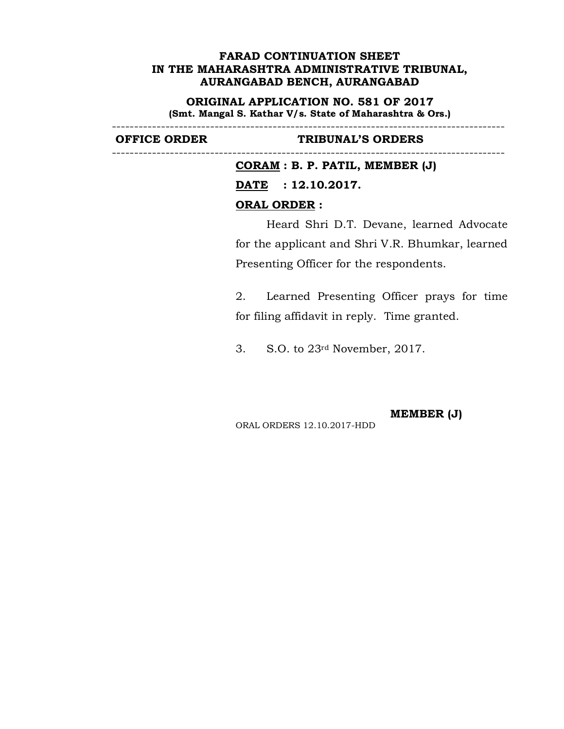**ORIGINAL APPLICATION NO. 581 OF 2017 (Smt. Mangal S. Kathar V/s. State of Maharashtra & Ors.)**

----------------------------------------------------------------------------------------

----------------------------------------------------------------------------------------

### **OFFICE ORDER TRIBUNAL'S ORDERS**

**CORAM : B. P. PATIL, MEMBER (J) DATE : 12.10.2017. ORAL ORDER :**

Heard Shri D.T. Devane, learned Advocate for the applicant and Shri V.R. Bhumkar, learned Presenting Officer for the respondents.

2. Learned Presenting Officer prays for time for filing affidavit in reply. Time granted.

3. S.O. to 23rd November, 2017.

**MEMBER (J)**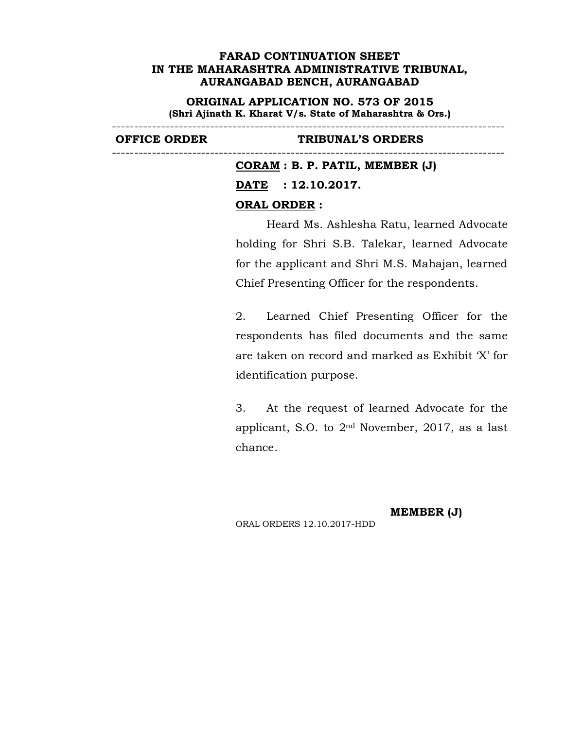**ORIGINAL APPLICATION NO. 573 OF 2015 (Shri Ajinath K. Kharat V/s. State of Maharashtra & Ors.)**

----------------------------------------------------------------------------------------

----------------------------------------------------------------------------------------

#### **OFFICE ORDER TRIBUNAL'S ORDERS**

**CORAM : B. P. PATIL, MEMBER (J) DATE : 12.10.2017. ORAL ORDER :**

Heard Ms. Ashlesha Ratu, learned Advocate holding for Shri S.B. Talekar, learned Advocate for the applicant and Shri M.S. Mahajan, learned Chief Presenting Officer for the respondents.

2. Learned Chief Presenting Officer for the respondents has filed documents and the same are taken on record and marked as Exhibit 'X' for identification purpose.

3. At the request of learned Advocate for the applicant, S.O. to 2nd November, 2017, as a last chance.

**MEMBER (J)**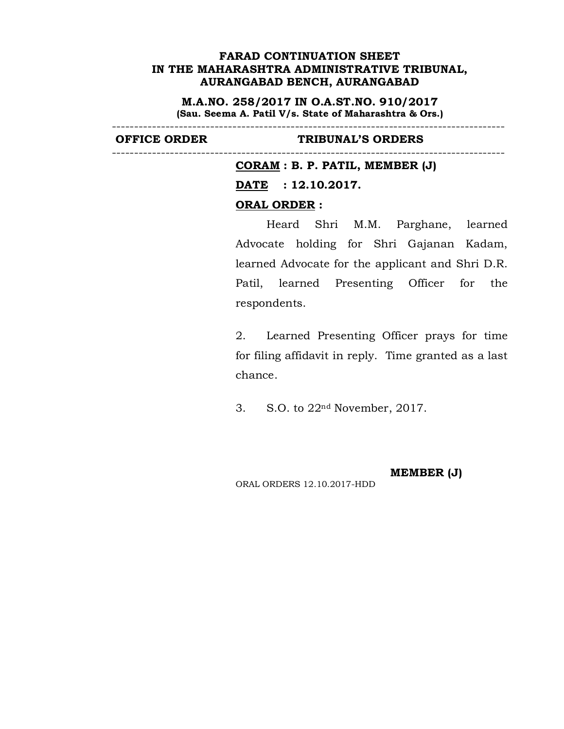**M.A.NO. 258/2017 IN O.A.ST.NO. 910/2017 (Sau. Seema A. Patil V/s. State of Maharashtra & Ors.)**

----------------------------------------------------------------------------------------

----------------------------------------------------------------------------------------

#### **OFFICE ORDER TRIBUNAL'S ORDERS**

**CORAM : B. P. PATIL, MEMBER (J)**

**DATE : 12.10.2017.**

## **ORAL ORDER :**

Heard Shri M.M. Parghane, learned Advocate holding for Shri Gajanan Kadam, learned Advocate for the applicant and Shri D.R. Patil, learned Presenting Officer for the respondents.

2. Learned Presenting Officer prays for time for filing affidavit in reply. Time granted as a last chance.

3. S.O. to 22nd November, 2017.

ORAL ORDERS 12.10.2017-HDD

**MEMBER (J)**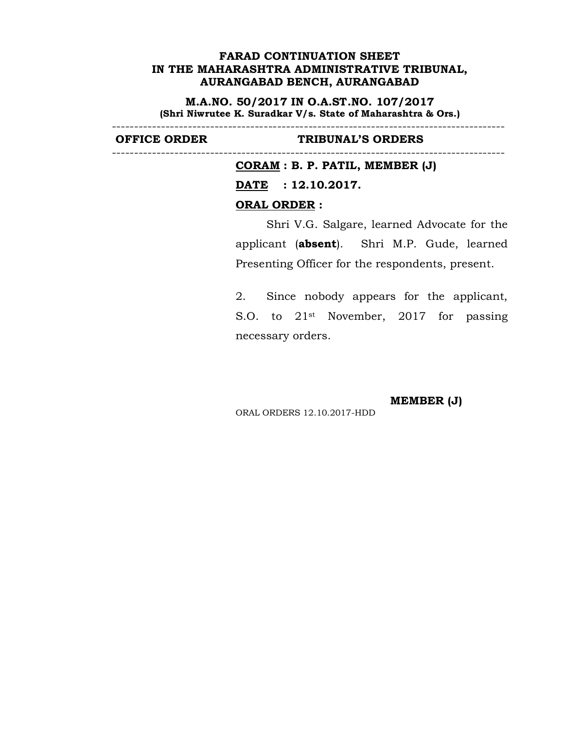**M.A.NO. 50/2017 IN O.A.ST.NO. 107/2017 (Shri Niwrutee K. Suradkar V/s. State of Maharashtra & Ors.)**

----------------------------------------------------------------------------------------

----------------------------------------------------------------------------------------

## **OFFICE ORDER TRIBUNAL'S ORDERS**

**CORAM : B. P. PATIL, MEMBER (J) DATE : 12.10.2017. ORAL ORDER :**

Shri V.G. Salgare, learned Advocate for the applicant (**absent**). Shri M.P. Gude, learned Presenting Officer for the respondents, present.

2. Since nobody appears for the applicant, S.O. to 21st November, 2017 for passing necessary orders.

**MEMBER (J)**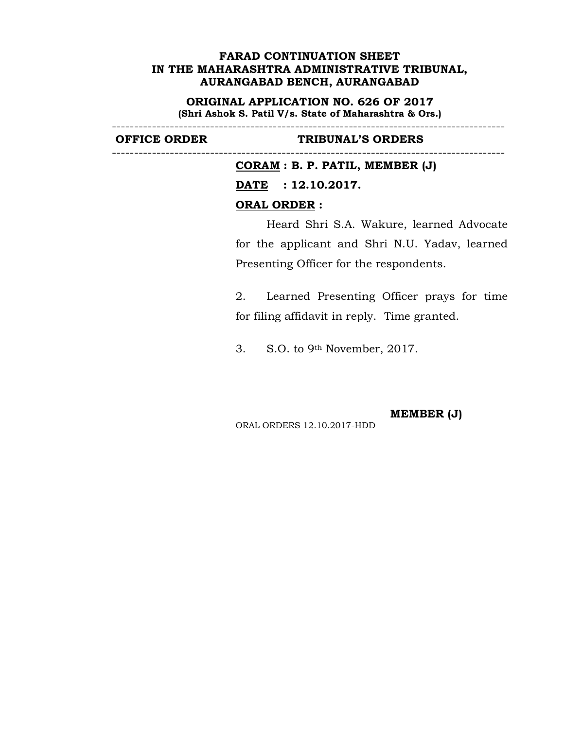**ORIGINAL APPLICATION NO. 626 OF 2017 (Shri Ashok S. Patil V/s. State of Maharashtra & Ors.)**

----------------------------------------------------------------------------------------

----------------------------------------------------------------------------------------

## **OFFICE ORDER TRIBUNAL'S ORDERS**

**CORAM : B. P. PATIL, MEMBER (J) DATE : 12.10.2017. ORAL ORDER :**

Heard Shri S.A. Wakure, learned Advocate for the applicant and Shri N.U. Yadav, learned Presenting Officer for the respondents.

2. Learned Presenting Officer prays for time for filing affidavit in reply. Time granted.

3. S.O. to 9th November, 2017.

**MEMBER (J)**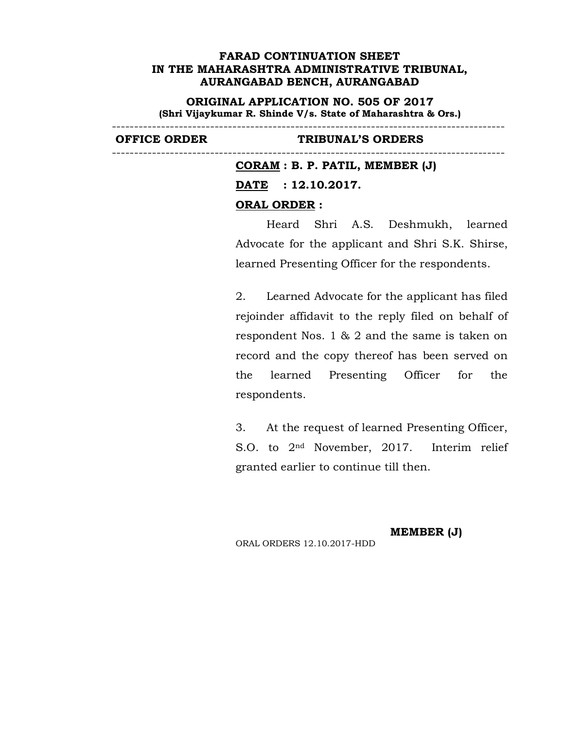**ORIGINAL APPLICATION NO. 505 OF 2017 (Shri Vijaykumar R. Shinde V/s. State of Maharashtra & Ors.)**

----------------------------------------------------------------------------------------

----------------------------------------------------------------------------------------

**OFFICE ORDER TRIBUNAL'S ORDERS** 

**CORAM : B. P. PATIL, MEMBER (J) DATE : 12.10.2017. ORAL ORDER :**

Heard Shri A.S. Deshmukh, learned Advocate for the applicant and Shri S.K. Shirse, learned Presenting Officer for the respondents.

2. Learned Advocate for the applicant has filed rejoinder affidavit to the reply filed on behalf of respondent Nos. 1 & 2 and the same is taken on record and the copy thereof has been served on the learned Presenting Officer for the respondents.

3. At the request of learned Presenting Officer, S.O. to 2nd November, 2017. Interim relief granted earlier to continue till then.

ORAL ORDERS 12.10.2017-HDD

**MEMBER (J)**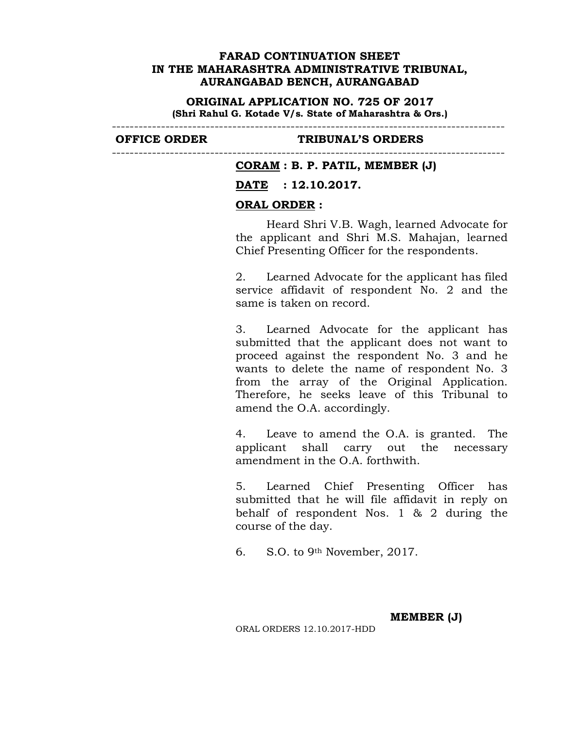**ORIGINAL APPLICATION NO. 725 OF 2017 (Shri Rahul G. Kotade V/s. State of Maharashtra & Ors.)**

----------------------------------------------------------------------------------------

----------------------------------------------------------------------------------------

### **OFFICE ORDER TRIBUNAL'S ORDERS**

### **CORAM : B. P. PATIL, MEMBER (J)**

### **DATE : 12.10.2017.**

### **ORAL ORDER :**

Heard Shri V.B. Wagh, learned Advocate for the applicant and Shri M.S. Mahajan, learned Chief Presenting Officer for the respondents.

2. Learned Advocate for the applicant has filed service affidavit of respondent No. 2 and the same is taken on record.

3. Learned Advocate for the applicant has submitted that the applicant does not want to proceed against the respondent No. 3 and he wants to delete the name of respondent No. 3 from the array of the Original Application. Therefore, he seeks leave of this Tribunal to amend the O.A. accordingly.

4. Leave to amend the O.A. is granted. The applicant shall carry out the necessary amendment in the O.A. forthwith.

5. Learned Chief Presenting Officer has submitted that he will file affidavit in reply on behalf of respondent Nos. 1 & 2 during the course of the day.

6. S.O. to 9th November, 2017.

**MEMBER (J)**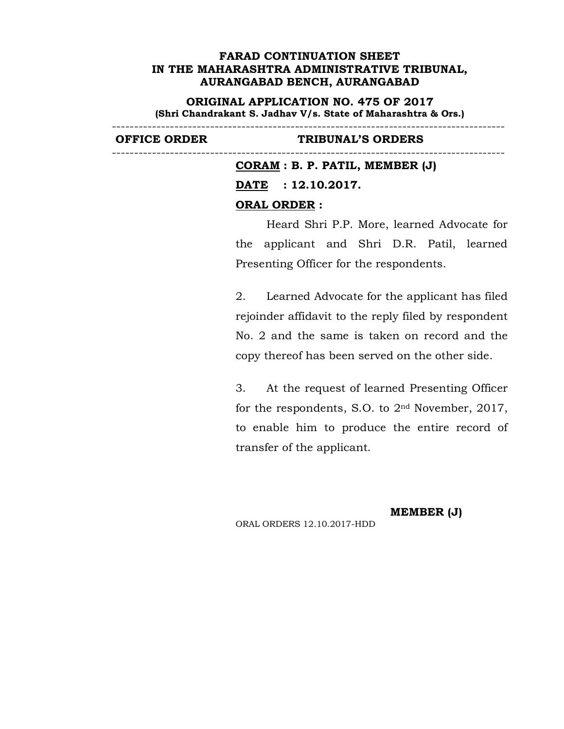**ORIGINAL APPLICATION NO. 475 OF 2017 (Shri Chandrakant S. Jadhav V/s. State of Maharashtra & Ors.)**

----------------------------------------------------------------------------------------

----------------------------------------------------------------------------------------

### **OFFICE ORDER TRIBUNAL'S ORDERS**

**CORAM : B. P. PATIL, MEMBER (J) DATE : 12.10.2017. ORAL ORDER :**

Heard Shri P.P. More, learned Advocate for the applicant and Shri D.R. Patil, learned Presenting Officer for the respondents.

2. Learned Advocate for the applicant has filed rejoinder affidavit to the reply filed by respondent No. 2 and the same is taken on record and the copy thereof has been served on the other side.

3. At the request of learned Presenting Officer for the respondents, S.O. to 2nd November, 2017, to enable him to produce the entire record of transfer of the applicant.

**MEMBER (J)**

ORAL ORDERS 12.10.2017-HDD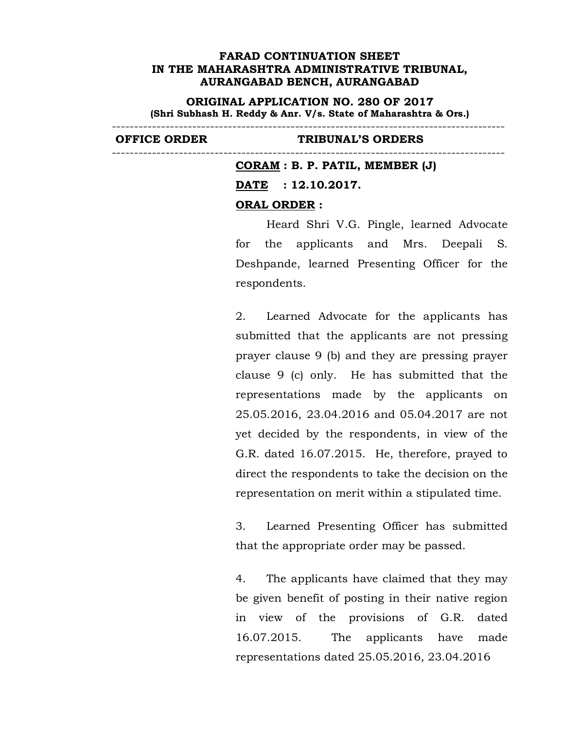**ORIGINAL APPLICATION NO. 280 OF 2017 (Shri Subhash H. Reddy & Anr. V/s. State of Maharashtra & Ors.)**

----------------------------------------------------------------------------------------

----------------------------------------------------------------------------------------

### **OFFICE ORDER TRIBUNAL'S ORDERS**

# **CORAM : B. P. PATIL, MEMBER (J) DATE : 12.10.2017. ORAL ORDER :**

Heard Shri V.G. Pingle, learned Advocate for the applicants and Mrs. Deepali S. Deshpande, learned Presenting Officer for the respondents.

2. Learned Advocate for the applicants has submitted that the applicants are not pressing prayer clause 9 (b) and they are pressing prayer clause 9 (c) only. He has submitted that the representations made by the applicants on 25.05.2016, 23.04.2016 and 05.04.2017 are not yet decided by the respondents, in view of the G.R. dated 16.07.2015. He, therefore, prayed to direct the respondents to take the decision on the representation on merit within a stipulated time.

3. Learned Presenting Officer has submitted that the appropriate order may be passed.

4. The applicants have claimed that they may be given benefit of posting in their native region in view of the provisions of G.R. dated 16.07.2015. The applicants have made representations dated 25.05.2016, 23.04.2016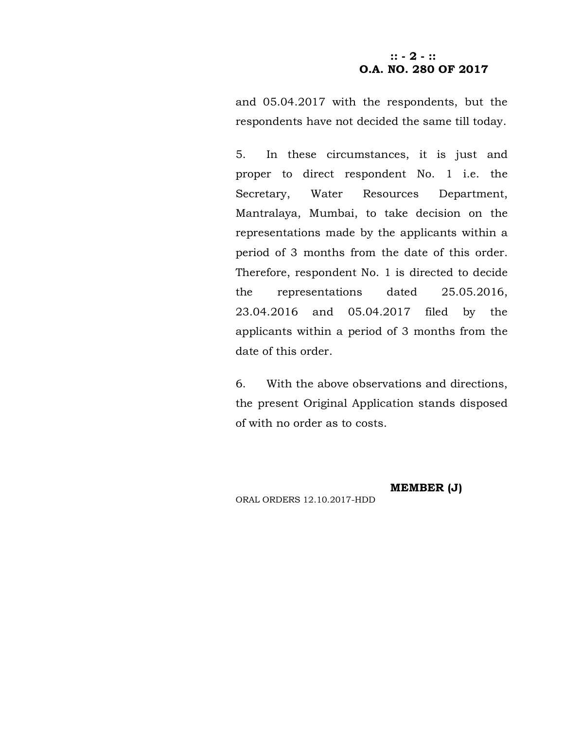# **:: - 2 - :: O.A. NO. 280 OF 2017**

and 05.04.2017 with the respondents, but the respondents have not decided the same till today.

5. In these circumstances, it is just and proper to direct respondent No. 1 i.e. the Secretary, Water Resources Department, Mantralaya, Mumbai, to take decision on the representations made by the applicants within a period of 3 months from the date of this order. Therefore, respondent No. 1 is directed to decide the representations dated 25.05.2016, 23.04.2016 and 05.04.2017 filed by the applicants within a period of 3 months from the date of this order.

6. With the above observations and directions, the present Original Application stands disposed of with no order as to costs.

ORAL ORDERS 12.10.2017-HDD

**MEMBER (J)**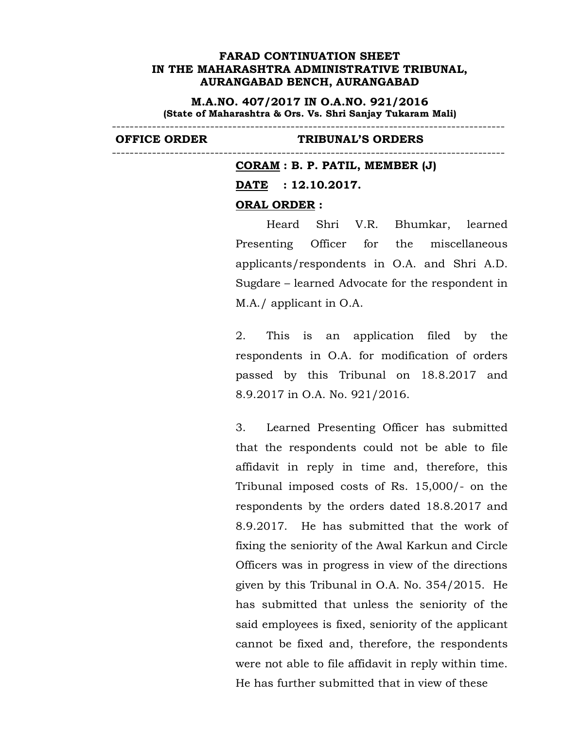**M.A.NO. 407/2017 IN O.A.NO. 921/2016 (State of Maharashtra & Ors. Vs. Shri Sanjay Tukaram Mali)**

----------------------------------------------------------------------------------------

### **OFFICE ORDER TRIBUNAL'S ORDERS**

---------------------------------------------------------------------------------------- **CORAM : B. P. PATIL, MEMBER (J) DATE : 12.10.2017. ORAL ORDER :**

> Heard Shri V.R. Bhumkar, learned Presenting Officer for the miscellaneous applicants/respondents in O.A. and Shri A.D. Sugdare – learned Advocate for the respondent in M.A./ applicant in O.A.

> 2. This is an application filed by the respondents in O.A. for modification of orders passed by this Tribunal on 18.8.2017 and 8.9.2017 in O.A. No. 921/2016.

> 3. Learned Presenting Officer has submitted that the respondents could not be able to file affidavit in reply in time and, therefore, this Tribunal imposed costs of Rs. 15,000/- on the respondents by the orders dated 18.8.2017 and 8.9.2017. He has submitted that the work of fixing the seniority of the Awal Karkun and Circle Officers was in progress in view of the directions given by this Tribunal in O.A. No. 354/2015. He has submitted that unless the seniority of the said employees is fixed, seniority of the applicant cannot be fixed and, therefore, the respondents were not able to file affidavit in reply within time. He has further submitted that in view of these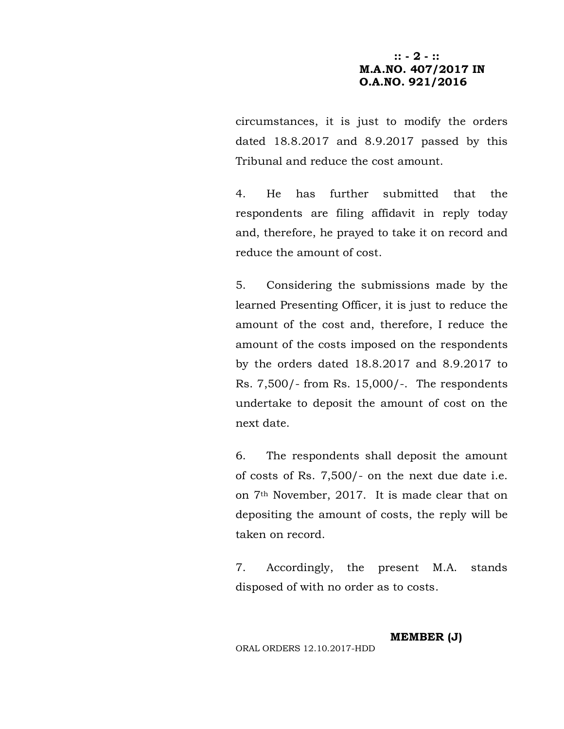# **:: - 2 - :: M.A.NO. 407/2017 IN O.A.NO. 921/2016**

circumstances, it is just to modify the orders dated 18.8.2017 and 8.9.2017 passed by this Tribunal and reduce the cost amount.

4. He has further submitted that the respondents are filing affidavit in reply today and, therefore, he prayed to take it on record and reduce the amount of cost.

5. Considering the submissions made by the learned Presenting Officer, it is just to reduce the amount of the cost and, therefore, I reduce the amount of the costs imposed on the respondents by the orders dated 18.8.2017 and 8.9.2017 to Rs. 7,500/- from Rs. 15,000/-. The respondents undertake to deposit the amount of cost on the next date.

6. The respondents shall deposit the amount of costs of Rs. 7,500/- on the next due date i.e. on 7th November, 2017. It is made clear that on depositing the amount of costs, the reply will be taken on record.

7. Accordingly, the present M.A. stands disposed of with no order as to costs.

ORAL ORDERS 12.10.2017-HDD

**MEMBER (J)**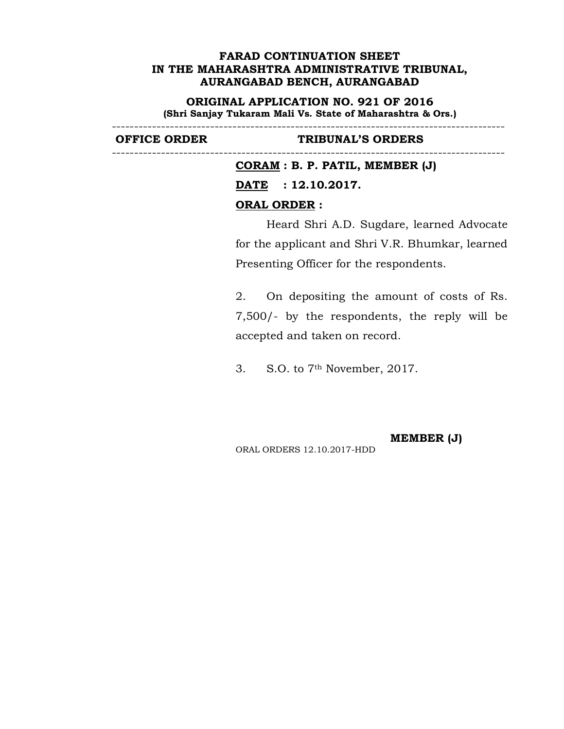**ORIGINAL APPLICATION NO. 921 OF 2016 (Shri Sanjay Tukaram Mali Vs. State of Maharashtra & Ors.)**

----------------------------------------------------------------------------------------

----------------------------------------------------------------------------------------

## **OFFICE ORDER TRIBUNAL'S ORDERS**

**CORAM : B. P. PATIL, MEMBER (J) DATE : 12.10.2017. ORAL ORDER :**

Heard Shri A.D. Sugdare, learned Advocate for the applicant and Shri V.R. Bhumkar, learned Presenting Officer for the respondents.

2. On depositing the amount of costs of Rs. 7,500/- by the respondents, the reply will be accepted and taken on record.

3. S.O. to 7th November, 2017.

**MEMBER (J)**

ORAL ORDERS 12.10.2017-HDD